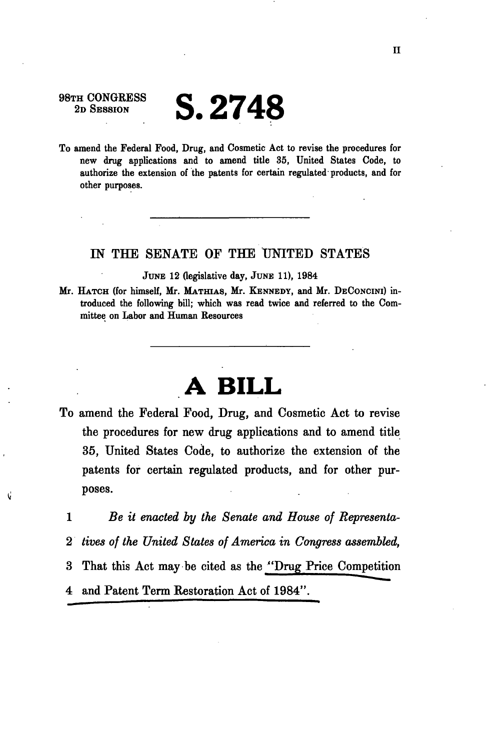## 98TH CONGRESS<br>2D SESSION **S. 2748**

To amend the Federal Food, Drug, and Cosmetic Act to revise the procedures for new drug applications and to amend title 35, United States Code, to authorize the extension of the patents for certain regulated products, and for other purposes.

## IN THE SENATE OF THE UNITED STATES

JUNE 12 (legislative day, JUNE 11), 1984

Mr. HATCH (for himself, Mr. MATHIAS, Mr. KENNEDY, and Mr. DECONCINI) introduced the following bill; which was read twice and referred to the Committee on Labor and Human Resources

## **A BILL**

- To amend the Federal Food, Drug, and Cosmetic Act to revise the procedures for new drug applications and to amend title 35, United States Code, to authorize the extension of the patents for certain regulated products, and for other purposes.
	- 1 *Be it enacted by the Senate and House of Representa-*2 *tives of the United States of America in Congress assembled,*  3 That this Act may be cited as the "Drug Price Competition 4 and Patent Term Restoration Act of 1984".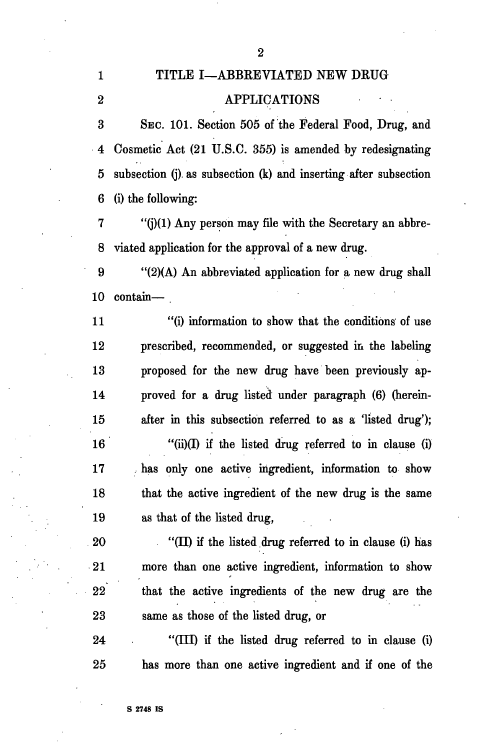## 1 TITLE I—ABBREVIATED NEW DRUG 2 APPLICATIONS

3 SEC. 101. Section 505 of the Federal Food, Drug, and 4 Cosmetic Act (21 U.S.C. 355) is amended by redesignating 5 subsection (j). as subsection (k) and inserting after subsection 6 (i) the following:

 $7$  "(j)(1) Any person may file with the Secretary an abbre-8 viated application for the approval of a new drug.

9 "(2)(A) An abbreviated application for a new drug shall 10 contain—

11 "(i) information to show that the conditions of use 12 prescribed, recommended, or suggested in the labeling 13 proposed for the new drug have been previously ap-14 proved for a drug listed under paragraph (6) (herein-15 after in this subsection referred to as a 'listed drug');  $16$  "(ii)(I) if the listed drug referred to in clause (i) 17 has only one active ingredient, information to show 18 that the active ingredient of the new drug is the same 19 as that of the listed drug,

20 "(II) if the listed drug referred to in clause (i) has 21 more than one active ingredient, information to show 22 that the active ingredients of the new drug are the 23 same as those of the listed drug, or

24 "(III) if the listed drug referred to in clause (i) 25 has more than one active ingredient and if one of the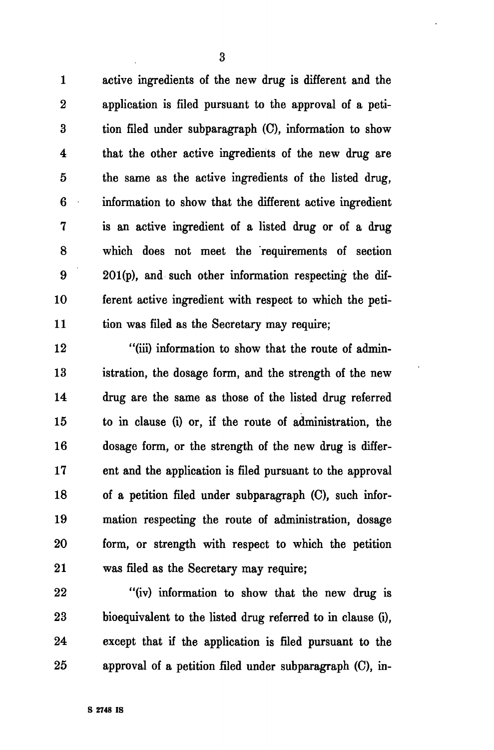1 active ingredients of the new drug is different and the 2 application is filed pursuant to the approval of a peti-3 tion filed under subparagraph (C), information to show 4 that the other active ingredients of the new drug are 5 the same as the active ingredients of the listed drug, 6 information to show that the different active ingredient 7 is an active ingredient of a listed drug or of a drug 8 which does not meet the requirements of section 9 201(p), and such other information respecting the dif-10 ferent active ingredient with respect to which the peti-11 tion was filed as the Secretary may require;

12 "(iii) information to show that the route of admin-13 istration, the dosage form, and the strength of the new 14 drug are the same as those of the listed drug referred 15 to in clause (i) or, if the route of administration, the 16 dosage form, or the strength of the new drug is differ-17 ent and the application is filed pursuant to the approval 18 of a petition filed under subparagraph (C), such infor-19 mation respecting the route of administration, dosage 20 form, or strength with respect to which the petition 21 was filed as the Secretary may require;

22 "(iv) information to show that the new drug is 23 bioequivalent to the listed drug referred to in clause (i), 24 except that if the application is filed pursuant to the 25 approval of a petition filed under subparagraph (C), in-

3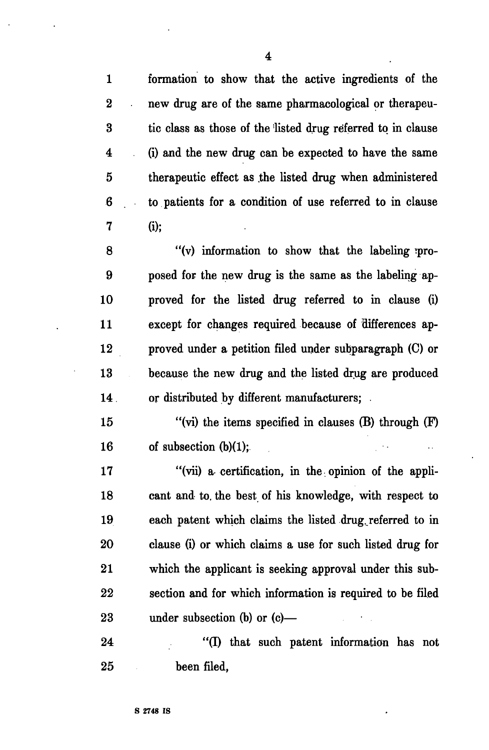1 formation to show that the active ingredients of the 2 new drug are of the same pharmacological or therapeu-3 tic class as those of the listed drug referred to in clause 4 (i) and the new drug can be expected to have the same 5 therapeutic effect as .the listed drug when administered 6 to patients for a condition of use referred to in clause 7 (i);

8 "(v) information to show that the labeling ipro-9 posed for the new drug is the same as the labeling ap-10 proved for the listed drug referred to in clause (i) 11 except for changes required because of differences ap-12 proved under a petition filed under subparagraph (C) or 13 because the new drug and the listed drug are produced 14. or distributed by different manufacturers; .

15 "(vi) the items specified in clauses (B) through (F) 16 of subsection (b)(1);

17 "(vii) a certification, in the opinion of the appli-18 cant and to. the best of his knowledge, with respect to 19 each patent which claims the listed drug referred to in 20 clause (i) or which claims a use for such listed drug for 21 which the applicant is seeking approval under this sub-22 section and for which information is required to be filed 23 under subsection (b) or (c)—

24 "(I) that such patent information has not 25 been filed,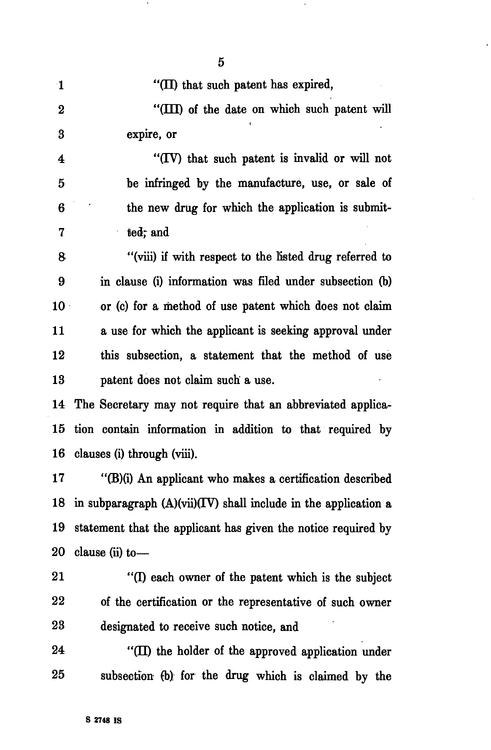| $\mathbf{1}$            | "(II) that such patent has expired,                              |
|-------------------------|------------------------------------------------------------------|
| $\bf{2}$                | "(III) of the date on which such patent will                     |
| $\bf{3}$                | expire, or                                                       |
| $\overline{\mathbf{4}}$ | "(IV) that such patent is invalid or will not                    |
| 5                       | be infringed by the manufacture, use, or sale of                 |
| 6                       | the new drug for which the application is submit-                |
| 7                       | tied; and                                                        |
| 8                       | "(viii) if with respect to the listed drug referred to           |
| 9                       | in clause (i) information was filed under subsection (b)         |
| 10 <sup>1</sup>         | or (c) for a method of use patent which does not claim           |
| 11                      | a use for which the applicant is seeking approval under          |
| 12                      | this subsection, a statement that the method of use              |
| 13                      | patent does not claim such a use.                                |
| 14                      | The Secretary may not require that an abbreviated applica-       |
| 15                      | tion contain information in addition to that required by         |
| 16                      | clauses (i) through (viii).                                      |
| 17                      | "(B)(i) An applicant who makes a certification described         |
| 18                      | in subparagraph $(A)(vi)(IV)$ shall include in the application a |
| 19                      | statement that the applicant has given the notice required by    |
| 20                      | clause (ii) to-                                                  |
| 21                      | "(I) each owner of the patent which is the subject               |
| 22                      | of the certification or the representative of such owner         |
| 23                      | designated to receive such notice, and                           |
| 24                      | "(II) the holder of the approved application under               |
| 25                      | subsection (b) for the drug which is claimed by the              |

5

 $\langle \cdot \rangle$ 

ä,

 $\bullet$ 

**S 2748 IS** 

l,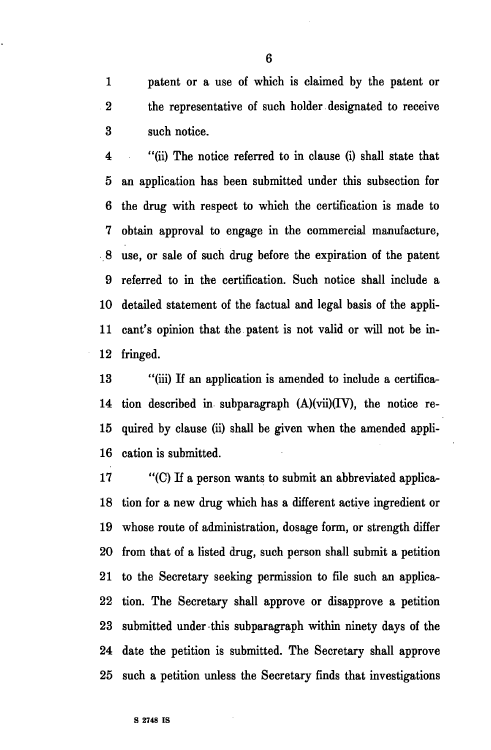1 patent or a use of which is claimed by the patent or 2 the representative of such holder designated to receive 3 such notice.

4 "(ii) The notice referred to in clause (i) shall state that 5 an application has been submitted under this subsection for 6 the drug with respect to which the certification is made to 7 obtain approval to engage in the commercial manufacture, 8 use, or sale of such drug before the expiration of the patent 9 referred to in the certification. Such notice shall include a 10 detailed statement of the factual and legal basis of the appli-11 cant's opinion that the patent is not valid or will not be in-12 fringed.

13 "(iii) If an application is amended to include a certifica-14 tion described in subparagraph  $(A)(vi)(IV)$ , the notice re-15 quired by clause (ii) shall be given when the amended appli-16 cation is submitted.

17 "(C) If a person wants to submit an abbreviated applica-18 tion for a new drug which has a different active ingredient or 19 whose route of administration, dosage form, or strength differ 20 from that of a listed drug, such person shall submit a petition 21 to the Secretary seeking permission to file such an applica-22 tion. The Secretary shall approve or disapprove a petition 23 submitted under this subparagraph within ninety days of the 24 date the petition is submitted. The Secretary shall approve 25 such a petition unless the Secretary finds that investigations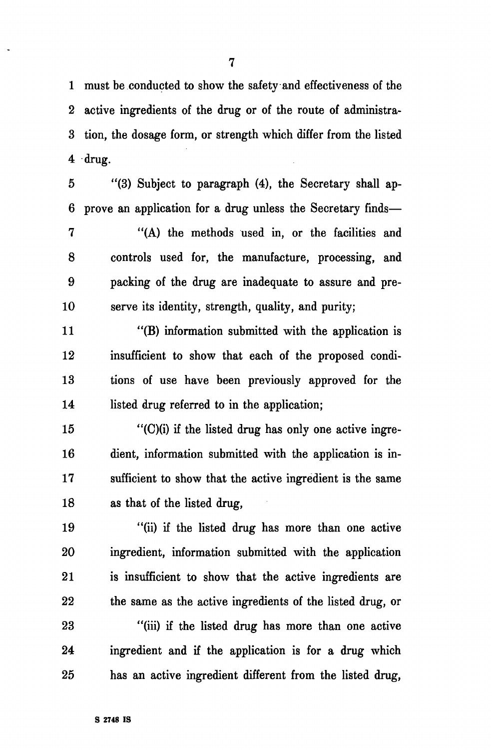1 must be conducted to show the safety and effectiveness of the 2 active ingredients of the drug or of the route of administra-3 tion, the dosage form, or strength which differ from the listed 4 drug.

5 "(3) Subject to paragraph (4), the Secretary shall ap-6 prove an application for a drug unless the Secretary finds—

7 "(A) the methods used in, or the facilities and 8 controls used for, the manufacture, processing, and 9 packing of the drug are inadequate to assure and pre-10 serve its identity, strength, quality, and purity;

11 "(B) information submitted with the application is 12 insufficient to show that each of the proposed condi-13 tions of use have been previously approved for the 14 listed drug referred to in the application;

 $15$  "(C)(i) if the listed drug has only one active ingre-16 dient, information submitted with the application is in-17 sufficient to show that the active ingredient is the same 18 as that of the listed drug,

19 "(ii) if the listed drug has more than one active 20 ingredient, information submitted with the application 21 is insufficient to show that the active ingredients are 22 the same as the active ingredients of the listed drug, or

23 "(iii) if the listed drug has more than one active 24 ingredient and if the application is for a drug which 25 has an active ingredient different from the listed drug,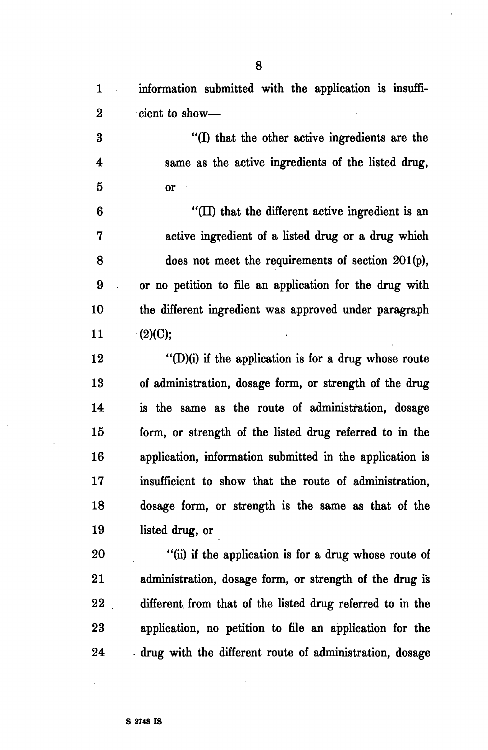1 information submitted with the application is insuffi-2 cient to show— 3 "(I) that the other active ingredients are the 4 same as the active ingredients of the listed drug, 5 or 6 "(II) that the different active ingredient is an 7 active ingredient of a listed drug or a drug which 8 does not meet the requirements of section 201(p), 9 or no petition to file an application for the drug with 10 the different ingredient was approved under paragraph 11  $(2)(C);$ 12  $\bullet$  "(D)(i) if the application is for a drug whose route 13 of administration, dosage form, or strength of the drug 14 is the same as the route of administration, dosage 15 form, or strength of the listed drug referred to in the 16 application, information submitted in the application is 17 insufficient to show that the route of administration, 18 dosage form, or strength is the same as that of the 19 listed drug, or 20 "(ii) if the application is for a drug whose route of 21 administration, dosage form, or strength of the drug is 22 different, from that of the listed drug referred to in the

23 application, no petition to file an application for the 24 drug with the different route of administration, dosage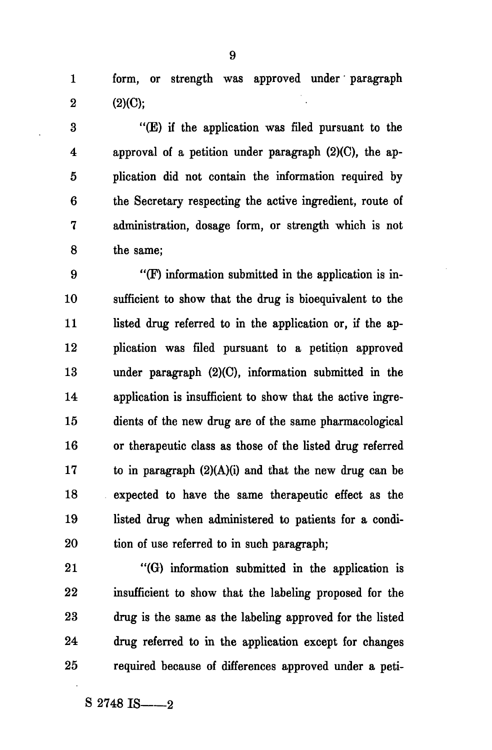1 form, or strength was approved under paragraph  $2 (2)(C):$ 

3 "(E) if the application was filed pursuant to the 4 approval of a petition under paragraph (2)(C), the ap-5 plication did not contain the information required by 6 the Secretary respecting the active ingredient, route of 7 administration, dosage form, or strength which is not 8 the same;

9 "(F) information submitted in the application is in-10 sufficient to show that the drug is bioequivalent to the 11 listed drug referred to in the application or, if the ap-12 plication was filed pursuant to a petition approved 13 under paragraph (2)(C), information submitted in the 14 application is insufficient to show that the active ingre-15 dients of the new drug are of the same pharmacological 16 or therapeutic class as those of the listed drug referred 17 to in paragraph  $(2)(A)(i)$  and that the new drug can be 18 expected to have the same therapeutic effect as the 19 listed drug when administered to patients for a condi-20 tion of use referred to in such paragraph;

21 "(G) information submitted in the application is 22 insufficient to show that the labeling proposed for the 23 drug is the same as the labeling approved for the listed 24 drug referred to in the application except for changes 25 required because of differences approved under a peti-

 $S$  2748 IS  $-2$ 

9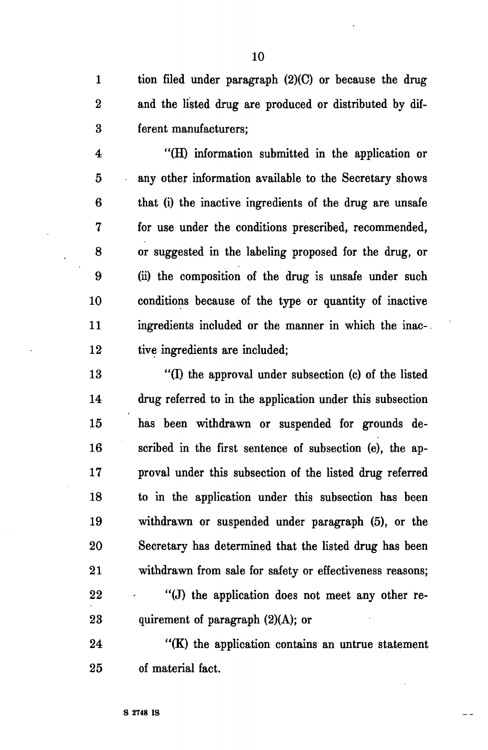1 tion filed under paragraph (2)(C) or because the drug 2 and the listed drug are produced or distributed by dif-3 ferent manufacturers;

4 "(H) information submitted in the application or 5 any other information available to the Secretary shows 6 that (i) the inactive ingredients of the drug are unsafe 7 for use under the conditions prescribed, recommended, 8 or suggested in the labeling proposed for the drug, or 9 (ii) the composition of the drug is unsafe under such 10 conditions because of the type or quantity of inactive 11 ingredients included or the manner in which the inac-12 tive ingredients are included;

13 "(I) the approval under subsection (c) of the listed 14 drug referred to in the application under this subsection 15 has been withdrawn or suspended for grounds de-16 scribed in the first sentence of subsection (e), the ap-17 proval under this subsection of the listed drug referred 18 to in the application under this subsection has been 19 withdrawn or suspended under paragraph (5), or the 20 Secretary has determined that the listed drug has been 21 withdrawn from sale for safety or effectiveness reasons; 22 "(J) the application does not meet any other re-23 quirement of paragraph (2)(A); or

24 *"(K)* the application contains an untrue statement 25 of material fact.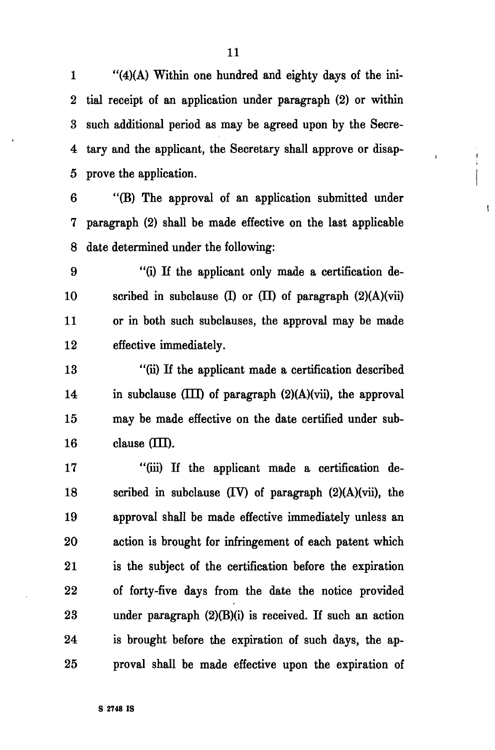1 "(4)(A) Within one hundred and eighty days of the ini-2 tial receipt of an application under paragraph (2) or within 3 such additional period as may be agreed upon by the Secre-4 tary and the applicant, the Secretary shall approve or disap-5 prove the application.

 $\frac{1}{1}$ 

 $\mathbf{I}$ 

6 "(B) The approval of an application submitted under 7 paragraph (2) shall be made effective on the last applicable 8 date determined under the following:

9 "(i) If the applicant only made a certification de-10 scribed in subclause (I) or (II) of paragraph  $(2)(A)(vi)$ 11 or in both such subclauses, the approval may be made 12 effective immediately.

13 "(ii) If the applicant made a certification described 14 in subclause  $(III)$  of paragraph  $(2)(A)(vii)$ , the approval 15 may be made effective on the date certified under sub- $16$  clause  $(III)$ .

17 "(iii) If the applicant made a certification de-18 scribed in subclause (TV) of paragraph (2)(A)(vii), the 19 approval shall be made effective immediately unless an 20 action is brought for infringement of each patent which 21 is the subject of the certification before the expiration 22 of forty-five days from the date the notice provided 23 under paragraph (2)(B)(i) is received. If such an action 24 is brought before the expiration of such days, the ap-25 proval shall be made effective upon the expiration of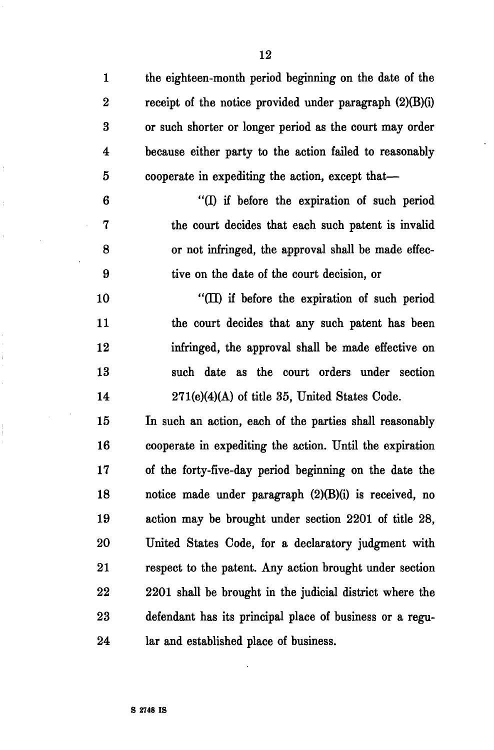12

1 the eighteen-month period beginning on the date of the 2 receipt of the notice provided under paragraph (2)(B)(i) 3 or such shorter or longer period as the court may order 4 because either party to the action failed to reasonably 5 cooperate in expediting the action, except that—

6 "(I) if before the expiration of such period 7 the court decides that each such patent is invalid 8 or not infringed, the approval shall be made effec-9 tive on the date of the court decision, or

10 "(II) if before the expiration of such period 11 the court decides that any such patent has been 12 infringed, the approval shall be made effective on 13 such date as the court orders under section 14 271(e)(4)(A) of title 35, United States Code.

15 In such an action, each of the parties shall reasonably 16 cooperate in expediting the action. Until the expiration 17 of the forty-five-day period beginning on the date the 18 notice made under paragraph (2)(B)(i) is received, no 19 action may be brought under section 2201 of title 28, 20 United States Code, for a declaratory judgment with 21 respect to the patent. Any action brought under section 22 2201 shall be brought in the judicial district where the 23 defendant has its principal place of business or a regu-24 lar and established place of business.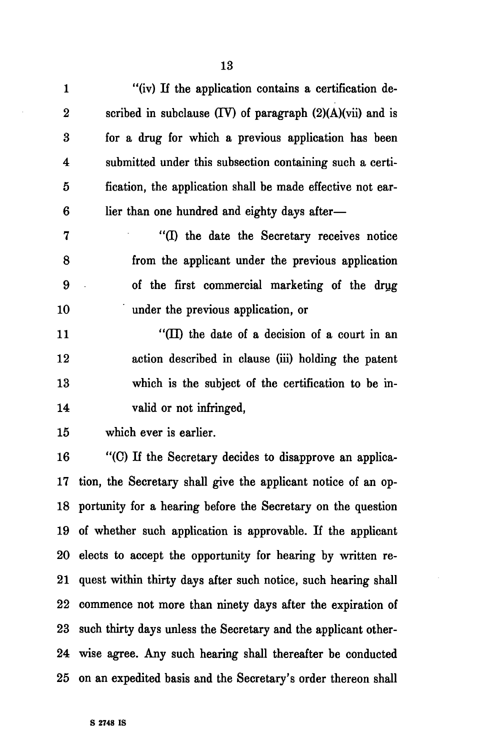| $\mathbf{1}$     | "(iv) If the application contains a certification de-        |
|------------------|--------------------------------------------------------------|
| $\boldsymbol{2}$ | scribed in subclause $(IV)$ of paragraph $(2)(A)(vi)$ and is |
| 3                | for a drug for which a previous application has been         |
| 4                | submitted under this subsection containing such a certi-     |
| $\mathbf{5}$     | fication, the application shall be made effective not ear-   |
| $6\phantom{1}6$  | lier than one hundred and eighty days after-                 |
| 7                | "(I) the date the Secretary receives notice                  |
| 8                | from the applicant under the previous application            |
| 9                | of the first commercial marketing of the drug                |
| 10               | under the previous application, or                           |
| 11               | "( $\Pi$ ) the date of a decision of a court in an           |
| 12               | action described in clause (iii) holding the patent          |
| 13               | which is the subject of the certification to be in-          |
| 14               | valid or not infringed,                                      |
| 15               | which ever is earlier.                                       |
|                  |                                                              |

16 "(C) If the Secretary decides to disapprove an applica-17 tion, the Secretary shall give the applicant notice of an op-18 portunity for a hearing before the Secretary on the question 19 of whether such application is approvable. If the applicant 20 elects to accept the opportunity for hearing by written re-21 quest within thirty days after such notice, such hearing shall 22 commence not more than ninety days after the expiration of 23 such thirty days unless the Secretary and the applicant other-24 wise agree. Any such hearing shall thereafter be conducted 25 on an expedited basis and the Secretary's order thereon shall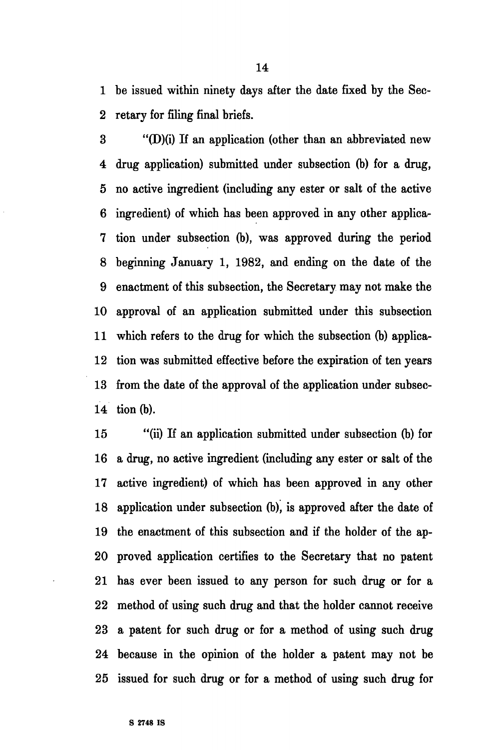1 be issued within ninety days after the date fixed by the Sec-2 retary for filing final briefs.

3 "(D)(i) If an application (other than an abbreviated new 4 drug application) submitted under subsection (b) for a drug, 5 no active ingredient (including any ester or salt of the active 6 ingredient) of which has been approved in any other applica-7 tion under subsection (b), was approved during the period 8 beginning January 1, 1982, and ending on the date of the 9 enactment of this subsection, the Secretary may not make the 10 approval of an application submitted under this subsection 11 which refers to the drug for which the subsection (b) applica-12 tion was submitted effective before the expiration of ten years 13 from the date of the approval of the application under subsec-14 tion (b).

15 "(ii) If an application submitted under subsection (b) for 16 a drug, no active ingredient (including any ester or salt of the 17 active ingredient) of which has been approved in any other 18 application under subsection (b), is approved after the date of 19 the enactment of this subsection and if the holder of the ap-20 proved application certifies to the Secretary that no patent 21 has ever been issued to any person for such drug or for a 22 method of using such drug and that the holder cannot receive 23 a patent for such drug or for a method of using such drug 24 because in the opinion of the holder a patent may not be 25 issued for such drug or for a method of using such drug for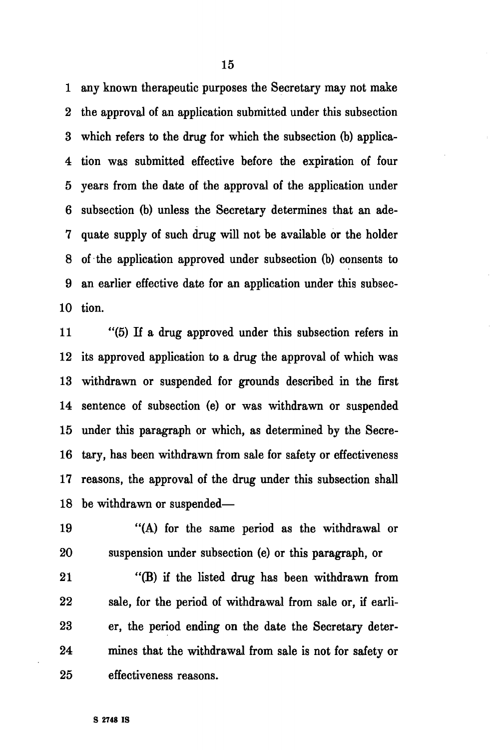1 any known therapeutic purposes the Secretary may not make 2 the approval of an application submitted under this subsection 3 which refers to the drug for which the subsection (b) applica-4 tion was submitted effective before the expiration of four 5 years from the date of the approval of the application under 6 subsection (b) unless the Secretary determines that an ade-7 quate supply of such drug will not be available or the holder 8 of the application approved under subsection (b) consents to 9 an earlier effective date for an application under this subsec-10 tion.

11 "(5) If a drug approved under this subsection refers in 12 its approved application to a drug the approval of which was 13 withdrawn or suspended for grounds described in the first 14 sentence of subsection (e) or was withdrawn or suspended 15 under this paragraph or which, as determined by the Secre-16 tary, has been withdrawn from sale for safety or effectiveness 17 reasons, the approval of the drug under this subsection shall 18 be withdrawn or suspended—

19 "(A) for the same period as the withdrawal or 20 suspension under subsection (e) or this paragraph, or

21 "(B) if the listed drug has been withdrawn from 22 sale, for the period of withdrawal from sale or, if earli-23 er, the period ending on the date the Secretary deter-24 mines that the withdrawal from sale is not for safety or 25 effectiveness reasons.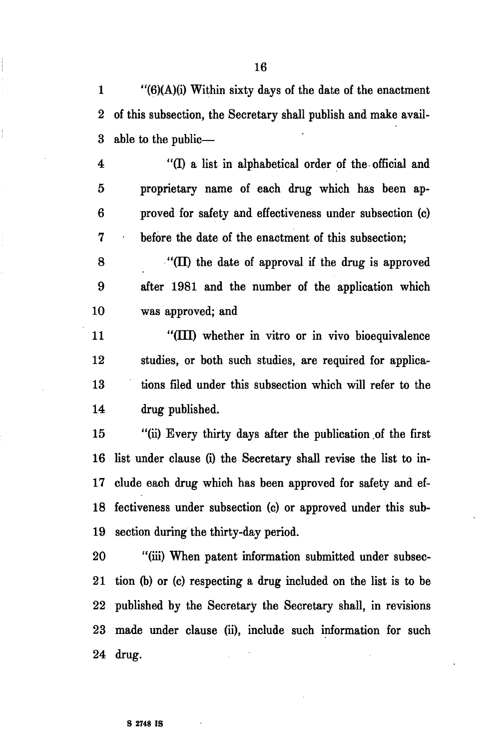1  $\frac{1}{6}(6)(A)(i)$  Within sixty days of the date of the enactment 2 of this subsection, the Secretary shall publish and make avail-3 able to the public—

4 "(I) a list in alphabetical order of the official and 5 proprietary name of each drug which has been ap-6 proved for safety and effectiveness under subsection (c) 7 before the date of the enactment of this subsection;

 $8$  "(II) the date of approval if the drug is approved 9 after 1981 and the number of the application which 10 was approved; and

11 "(III) whether in vitro or in vivo bioequivalence 12 studies, or both such studies, are required for applica-13 tions filed under this subsection which will refer to the 14 drug published.

15 "(ii) Every thirty days after the publication of the first 16 list under clause (i) the Secretary shall revise the list to in-17 elude each drug which has been approved for safety and ef-18 fectiveness under subsection (c) or approved under this sub-19 section during the thirty-day period.

20 "(iii) When patent information submitted under subsec-21 tion (b) or (c) respecting a drug included on the list is to be 22 published by the Secretary the Secretary shall, in revisions 23 made under clause (ii), include such information for such 24 drug.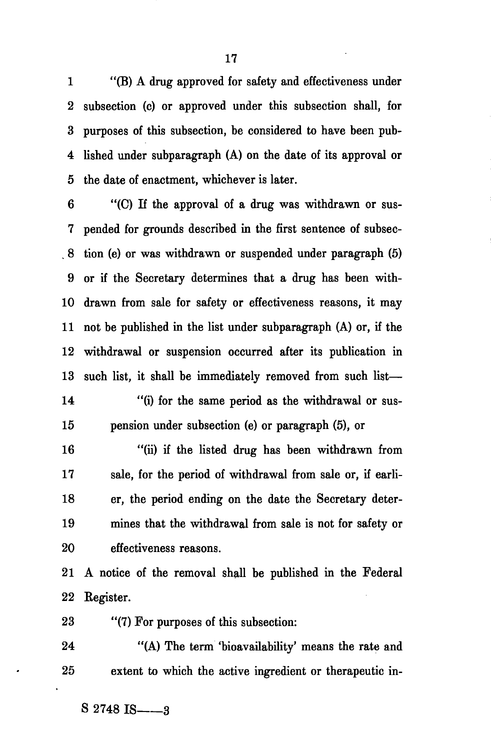1 "(B) A drug approved for safety and effectiveness under 2 subsection (c) or approved under this subsection shall, for 3 purposes of this subsection, be considered to have been pub-4 lished under subparagraph (A) on the date of its approval or 5 the date of enactment, whichever is later.

6 "(C) If the approval of a drug was withdrawn or sus-7 pended for grounds described in the first sentence of subsec- . 8 tion (e) or was withdrawn or suspended under paragraph (5) 9 or if the Secretary determines that a drug has been with-10 drawn from sale for safety or effectiveness reasons, it may 11 not be published in the list under subparagraph (A) or, if the 12 withdrawal or suspension occurred after its publication in 13 such list, it shall be immediately removed from such list—

14 "(i) for the same period as the withdrawal or sus-15 pension under subsection (e) or paragraph (5), or

16 "(ii) if the listed drug has been withdrawn from 17 sale, for the period of withdrawal from sale or, if earli-18 er, the period ending on the date the Secretary deter-19 mines that the withdrawal from sale is not for safety or 20 effectiveness reasons.

21 A notice of the removal shall be published in the Federal 22 Kegister.

23 "(7) For purposes of this subsection:

24 "(A) The term 'bioavailability' means the rate and 25 extent to which the active ingredient or therapeutic in-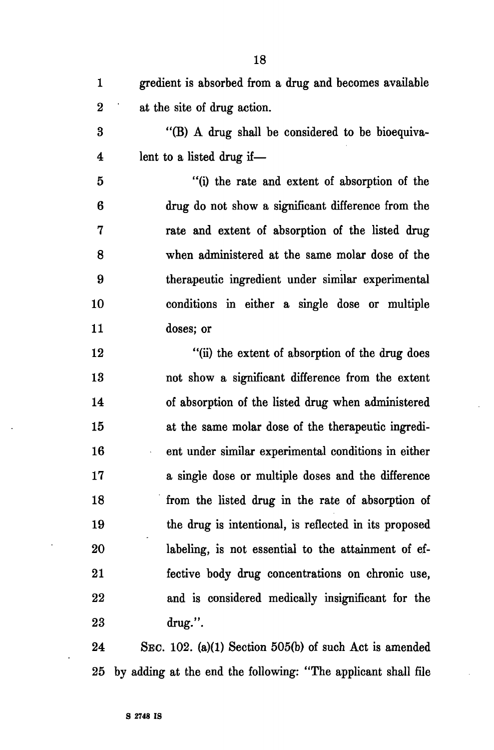1 gredient is absorbed from a drug and becomes available 2 at the site of drug action. 3 "(B) A drug shall be considered to be bioequiva-4 lent to a listed drug if— 5 "(i) the rate and extent of absorption of the 6 drug do not show a significant difference from the 7 rate and extent of absorption of the listed drug 8 when administered at the same molar dose of the 9 therapeutic ingredient under similar experimental 10 conditions in either a single dose or multiple 11 doses; or 12 "(ii) the extent of absorption of the drug does 13 not show a significant difference from the extent 14 of absorption of the listed drug when administered 15 at the same molar dose of the therapeutic ingredi-16 ent under similar experimental conditions in either 17 a single dose or multiple doses and the difference 18 from the listed drug in the rate of absorption of 19 the drug is intentional, is reflected in its proposed 20 labeling, is not essential to the attainment of ef-21 fective body drug concentrations on chronic use, 22 and is considered medically insignificant for the 23 drug.".

24 SEC. 102. (a)(1) Section 505(b) of such Act is amended 25 by adding at the end the following: "The applicant shall file

18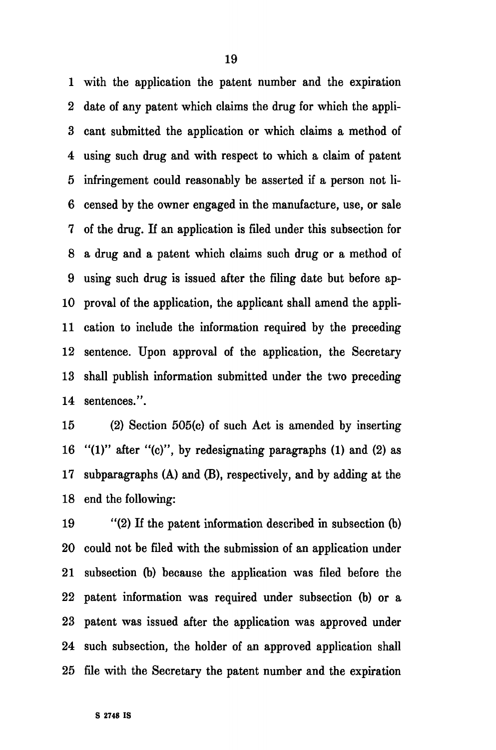1 with the application the patent number and the expiration 2 date of any patent which claims the drug for which the appli-3 cant submitted the application or which claims a method of 4 using such drug and with respect to which a claim of patent 5 infringement could reasonably be asserted if a person not li-6 censed by the owner engaged in the manufacture, use, or sale 7 of the drug. If an application is filed under this subsection for 8 a drug and a patent which claims such drug or a method of 9 using such drug is issued after the filing date but before ap-10 proval of the application, the applicant shall amend the appli-11 cation to include the information required by the preceding 12 sentence. Upon approval of the application, the Secretary 13 shall publish information submitted under the two preceding 14 sentences.".

15 (2) Section 505(c) of such Act is amended by inserting 16 "(1)" after "(c)", by redesignating paragraphs (1) and (2) as 17 subparagraphs (A) and (B), respectively, and by adding at the 18 end the following:

19 "(2) If the patent information described in subsection (b) 20 could not be filed with the submission of an application under 21 subsection (b) because the application was filed before the 22 patent information was required under subsection (b) or a 23 patent was issued after the application was approved under 24 such subsection, the holder of an approved application shall 25 file with the Secretary the patent number and the expiration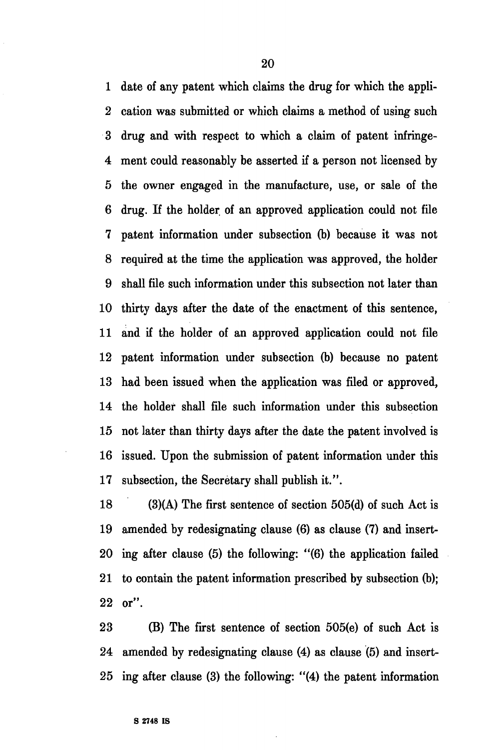1 date of any patent which claims the drug for which the appli-2 cation was submitted or which claims a method of using such 3 drug and with respect to which a claim of patent infringe-4 ment could reasonably be asserted if a person not licensed by 5 the owner engaged in the manufacture, use, or sale of the 6 drug. If the holder of an approved application could not file 7 patent information under subsection (b) because it was not 8 required at the time the application was approved, the holder 9 shall file such information under this subsection not later than 10 thirty days after the date of the enactment of this sentence, 11 and if the holder of an approved application could not file 12 patent information under subsection (b) because no patent 13 had been issued when the application was filed or approved, 14 the holder shall file such information under this subsection 15 not later than thirty days after the date the patent involved is 16 issued. Upon the submission of patent information under this 17 subsection, the Secretary shall publish it.".

18 (3)(A) The first sentence of section 505(d) of such Act is 19 amended by redesignating clause (6) as clause (7) and insert-20 ing after clause (5) the following: "(6) the application failed 21 to contain the patent information prescribed by subsection (b); 22 or".

23 (B) The first sentence of section 505(e) of such Act is 24 amended by redesignating clause (4) as clause (5) and insert-25 ing after clause (3) the following: "(4) the patent information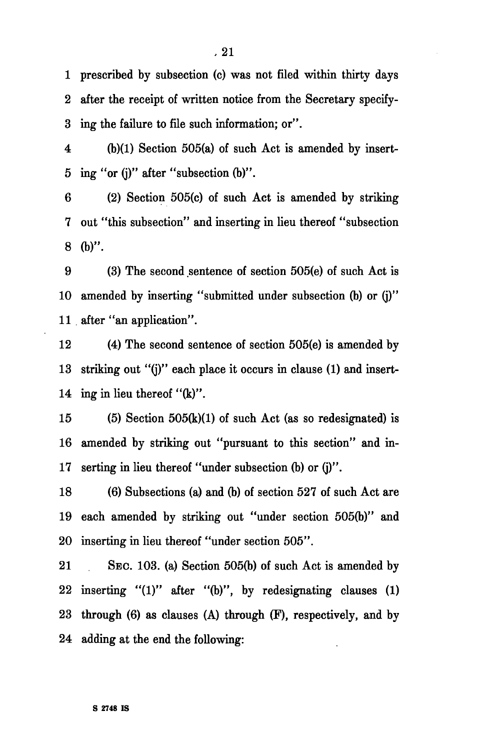1 prescribed by subsection (c) was not filed within thirty days 2 after the receipt of written notice from the Secretary specify-3 ing the failure to file such information; or".

4 (b)(1) Section 505(a) of such Act is amended by insert-5 ing "or (j)" after "subsection (b)".

6 (2) Section 505(c) of such Act is amended by striking 7 out "this subsection" and inserting in lieu thereof "subsection 8 (b)".

9 (3) The second sentence of section 505(e) of such Act is 10 amended by inserting "submitted under subsection (b) or (j)" 11 after "an application".

12 (4) The second sentence of section 505(e) is amended by 13 striking out "(j)" each place it occurs in clause (1) and insert-14 ing in lieu thereof "(k)".

15 (5) Section 505(k)(l) of such Act (as so redesignated) is 16 amended by striking out "pursuant to this section" and in-17 serting in lieu thereof "under subsection (b) or (j)".

18 (6) Subsections (a) and (b) of section 527 of such Act are 19 each amended by striking out "under section 505(b)" and 20 inserting in lieu thereof "under section 505".

21 SEC. 103. (a) Section 505(b) of such Act is amended by 22 inserting  $"(1)"$  after  $"(b)"$ , by redesignating clauses  $(1)$ 23 through (6) as clauses (A) through (F), respectively, and by 24 adding at the end the following: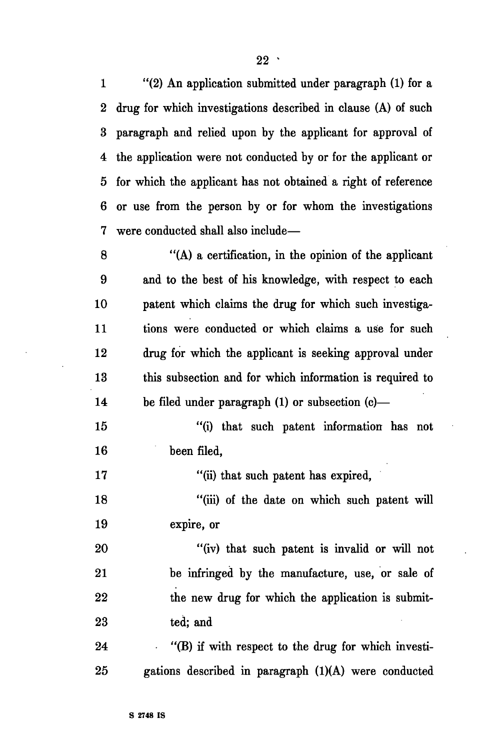1 "(2) An application submitted under paragraph (1) for a 2 drug for which investigations described in clause (A) of such 3 paragraph and relied upon by the applicant for approval of 4 the application were not conducted by or for the applicant or 5 for which the applicant has not obtained a right of reference 6 or use from the person by or for whom the investigations 7 were conducted shall also include—

8 "(A) a certification, in the opinion of the applicant 9 and to the best of his knowledge, with respect to each 10 patent which claims the drug for which such investiga-11 tions were conducted or which claims a use for such 12 drug for which the applicant is seeking approval under 13 this subsection and for which information is required to 14 be filed under paragraph (1) or subsection (c)—

15 "(i) that such patent information has not 16 been filed,

17 "(ii) that such patent has expired,

18 "(iii) of the date on which such patent will 19 expire, or

20 "(iv) that such patent is invalid or will not 21 be infringed by the manufacture, use, or sale of 22 the new drug for which the application is submit-23 ted; and

24 "(B) if with respect to the drug for which investi-25 gations described in paragraph (1)(A) were conducted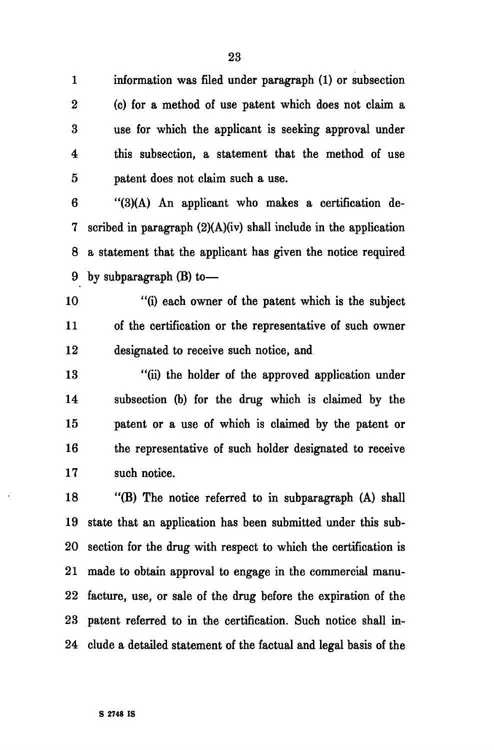1 information was filed under paragraph (1) or subsection 2 (c) for a method of use patent which does not claim a 3 use for which the applicant is seeking approval under 4 this subsection, a statement that the method of use 5 patent does not claim such a use.

6 "(3)(A) An applicant who makes a certification de-7 scribed in paragraph (2)(A)(iv) shall include in the application 8 a statement that the applicant has given the notice required 9 by subparagraph (B) to—

10 "(i) each owner of the patent which is the subject 11 of the certification or the representative of such owner 12 designated to receive such notice, and

13 "(ii) the holder of the approved application under 14 subsection (b) for the drug which is claimed by the 15 patent or a use of which is claimed by the patent or 16 the representative of such holder designated to receive 17 such notice.

18 "(B) The notice referred to in subparagraph (A) shall 19 state that an application has been submitted under this sub-20 section for the drug with respect to which the certification is 21 made to obtain approval to engage in the commercial manu-22 facture, use, or sale of the drug before the expiration of the 23 patent referred to in the certification. Such notice shall in-24 elude a detailed statement of the factual and legal basis of the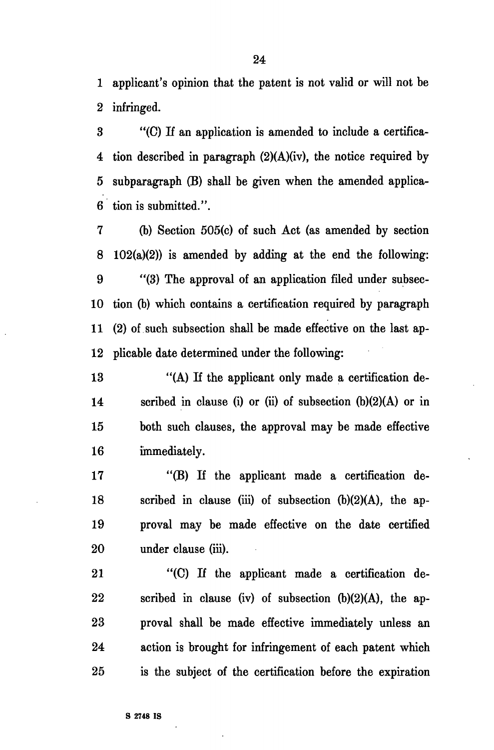1 applicant's opinion that the patent is not valid or will not be 2 infringed.

3 "(C) If an application is amended to include a certifica-4 tion described in paragraph (2)(A)(iv), the notice required by 5 subparagraph (B) shall be given when the amended applica-6 tion is submitted.".

7 (b) Section 505(c) of such Act (as amended by section 8 102(a)(2)) is amended by adding at the end the following: 9 "(3) The approval of an application filed under subsec-10 tion (b) which contains a certification required by paragraph 11 (2) of such subsection shall be made effective on the last ap-12 plicable date determined under the following:

13 "(A) If the applicant only made a certification de-14 scribed in clause (i) or (ii) of subsection (b)(2)(A) or in 15 both such clauses, the approval may be made effective 16 immediately.

17 "(B) If the applicant made a certification de-18 scribed in clause (iii) of subsection  $(b)(2)(A)$ , the ap-19 proval may be made effective on the date certified 20 under clause (iii).

21 "(C) If the applicant made a certification de-22 scribed in clause (iv) of subsection (b)(2)(A), the ap-23 proval shall be made effective immediately unless an 24 action is brought for infringement of each patent which 25 is the subject of the certification before the expiration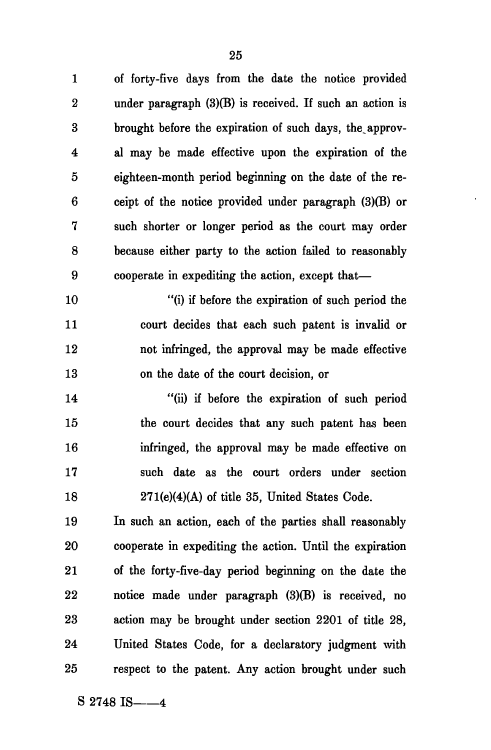1 of forty-five days from the date the notice provided 2 under paragraph (3)(B) is received. If such an action is 3 brought before the expiration of such days, the approv-4 al may be made effective upon the expiration of the 5 eighteen-month period beginning on the date of the re-6 ceipt of the notice provided under paragraph (3)(B) or 7 such shorter or longer period as the court may order 8 because either party to the action failed to reasonably 9 cooperate in expediting the action, except that— 10 "(i) if before the expiration of such period the 11 court decides that each such patent is invalid or 12 not infringed, the approval may be made effective 13 on the date of the court decision, or 14 "(ii) if before the expiration of such period 15 the court decides that any such patent has been 16 infringed, the approval may be made effective on 17 such date as the court orders under section 18 271(e)(4)(A) of title 35, United States Code. 19 In such an action, each of the parties shall reasonably 20 cooperate in expediting the action. Until the expiration 21 of the forty-five-day period beginning on the date the 22 notice made under paragraph (3)(B) is received, no 23 action may be brought under section 2201 of title 28, 24 United States Code, for a declaratory judgment with 25 respect to the patent. Any action brought under such

 $S$  2748 IS  $-4$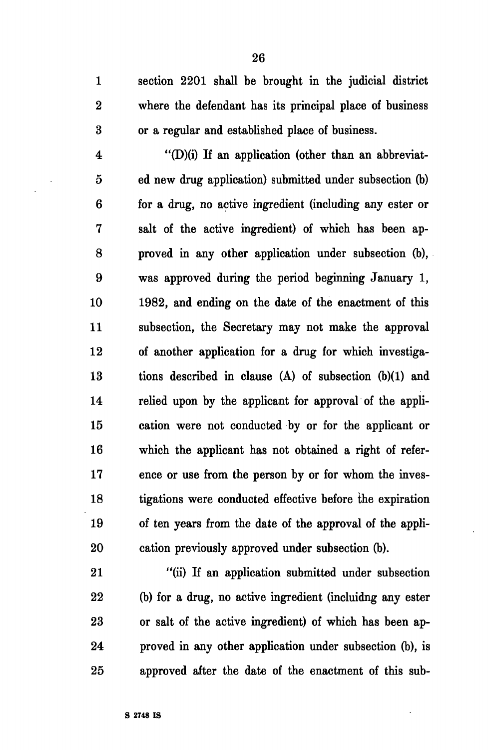1 section 2201 shall be brought in the judicial district 2 where the defendant has its principal place of business 3 or a regular and established place of business.

 $4$  "(D)(i) If an application (other than an abbreviat-5 ed new drug application) submitted under subsection (b) 6 for a drug, no active ingredient (including any ester or 7 salt of the active ingredient) of which has been ap-8 proved in any other application under subsection (b), 9 was approved during the period beginning January 1, 10 1982, and ending on the date of the enactment of this 11 subsection, the Secretary may not make the approval 12 of another application for a drug for which investiga-13 tions described in clause (A) of subsection (b)(1) and 14 relied upon by the applicant for approval of the appli-15 cation were not conducted by or for the applicant or 16 which the applicant has not obtained a right of refer-17 ence or use from the person by or for whom the inves-18 tigations were conducted effective before the expiration 19 of ten years from the date of the approval of the appli-20 cation previously approved under subsection (b).

21 "(ii) If an application submitted under subsection 22 (b) for a drug, no active ingredient (incluidng any ester 23 or salt of the active ingredient) of which has been ap-24 proved in any other application under subsection (b), is 25 approved after the date of the enactment of this sub-

26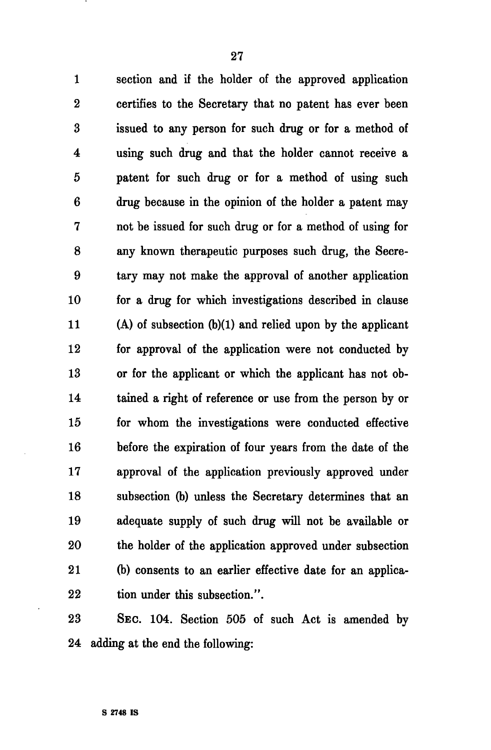1 section and if the holder of the approved application 2 certifies to the Secretary that no patent has ever been

3 issued to any person for such drug or for a method of 4 using such drug and that the holder cannot receive a 5 patent for such drug or for a method of using such 6 drug because in the opinion of the holder a patent may 7 not be issued for such drug or for a method of using for 8 any known therapeutic purposes such drug, the Secre-9 tary may not make the approval of another application 10 for a drug for which investigations described in clause 11 (A) of subsection (b)(1) and relied upon by the applicant 12 for approval of the application were not conducted by 13 or for the applicant or which the applicant has not ob-14 tained a right of reference or use from the person by or 15 for whom the investigations were conducted effective 16 before the expiration of four years from the date of the 17 approval of the application previously approved under 18 subsection (b) unless the Secretary determines that an 19 adequate supply of such drug will not be available or 20 the holder of the application approved under subsection 21 (b) consents to an earlier effective date for an applica-22 tion under this subsection.".

23 SEC. 104. Section 505 of such Act is amended by 24 adding at the end the following: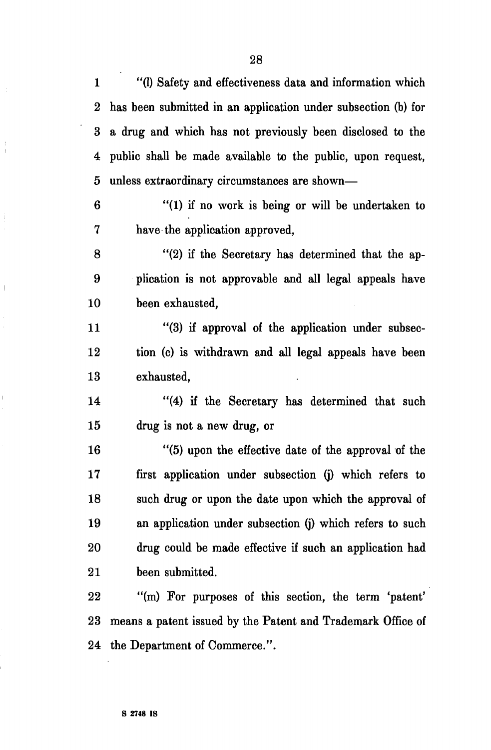1 "(1) Safety and effectiveness data and information which 2 has been submitted in an application under subsection (b) for 3 a drug and which has not previously been disclosed to the 4 public shall be made available to the public, upon request, 5 unless extraordinary circumstances are shown—

6 "(1) if no work is being or will be undertaken to 7 have the application approved,

8 "(2) if the Secretary has determined that the ap-9 plication is not approvable and all legal appeals have 10 been exhausted,

11 "(3) if approval of the application under subsec-12 tion (c) is withdrawn and all legal appeals have been 13 exhausted,

14 "(4) if the Secretary has determined that such 15 drug is not a new drug, or

16 "(5) upon the effective date of the approval of the 17 first application under subsection (j) which refers to 18 such drug or upon the date upon which the approval of 19 an application under subsection (j) which refers to such 20 drug could be made effective if such an application had 21 been submitted.

22 "(m) For purposes of this section, the term 'patent' 23 means a patent issued by the Patent and Trademark Office of 24 the Department of Commerce.".

Ĵ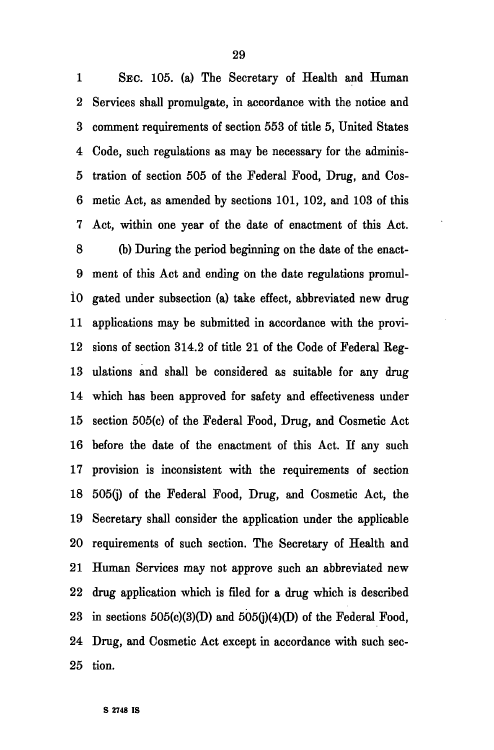1 SEC. 105. (a) The Secretary of Health and Human 2 Services shall promulgate, in accordance with the notice and 3 comment requirements of section 553 of title 5, United States 4 Code, such regulations as may be necessary for the adminis-5 tration of section 505 of the Federal Food, Drug, and Cos-6 metic Act, as amended by sections 101, 102, and 103 of this 7 Act, within one year of the date of enactment of this Act. 8 (b) During the period beginning on the date of the enact-9 ment of this Act and ending on the date regulations promuli0 gated under subsection (a) take effect, abbreviated new drug 11 applications may be submitted in accordance with the provi-12 sions of section 314.2 of title 21 of the Code of Federal Eeg-13 ulations and shall be considered as suitable for any drug 14 which has been approved for safety and effectiveness under 15 section 505(c) of the Federal Food, Drug, and Cosmetic Act 16 before the date of the enactment of this Act. If any such 17 provision is inconsistent with the requirements of section 18 505(j) of the Federal Food, Drug, and Cosmetic Act, the 19 Secretary shall consider the application under the applicable 20 requirements of such section. The Secretary of Health and 21 Human Services may not approve such an abbreviated new 22 drug application which is filed for a drug which is described 23 in sections  $505(c)(3)(D)$  and  $505(i)(4)(D)$  of the Federal Food, 24 Drug, and Cosmetic Act except in accordance with such sec-25 tion.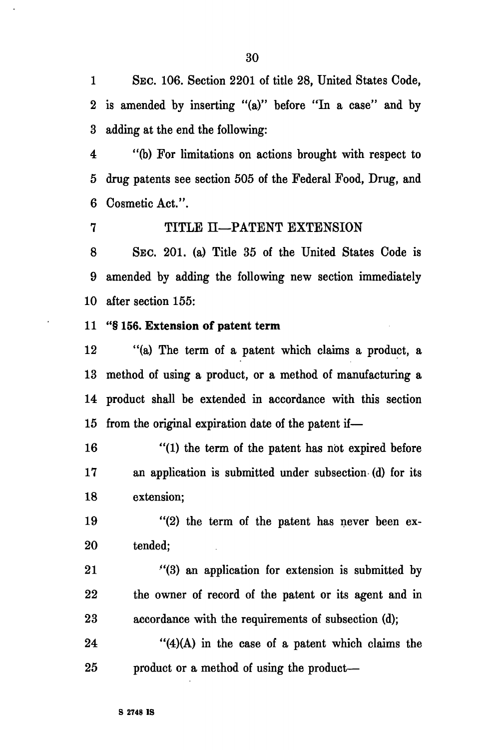1 SEC. 106. Section 2201 of title 28, United States Code, 2 is amended by inserting "(a)" before "In a case" and by 3 adding at the end the following:

4 "(b) For limitations on actions brought with respect to 5 drug patents see section 505 of the Federal Food, Drug, and 6 Cosmetic Act.".

7 TITLE II—PATENT EXTENSION

8 SEC. 201. (a) Title 35 of the United States Code is 9 amended by adding the following new section immediately 10 after section 155:

11 **"§ 156. Extension of patent term** 

12 "(a) The term of a patent which claims a product, a 13 method of using a product, or a method of manufacturing a 14 product shall be extended in accordance with this section 15 from the original expiration date of the patent if—

16 "(1) the term of the patent has not expired before 17 an application is submitted under subsection (d) for its 18 extension;

19 "(2) the term of the patent has never been ex-20 tended;

21 "(3) an application for extension is submitted by 22 the owner of record of the patent or its agent and in 23 accordance with the requirements of subsection (d);

24 " $(4)(A)$  in the case of a patent which claims the 25 product or a method of using the product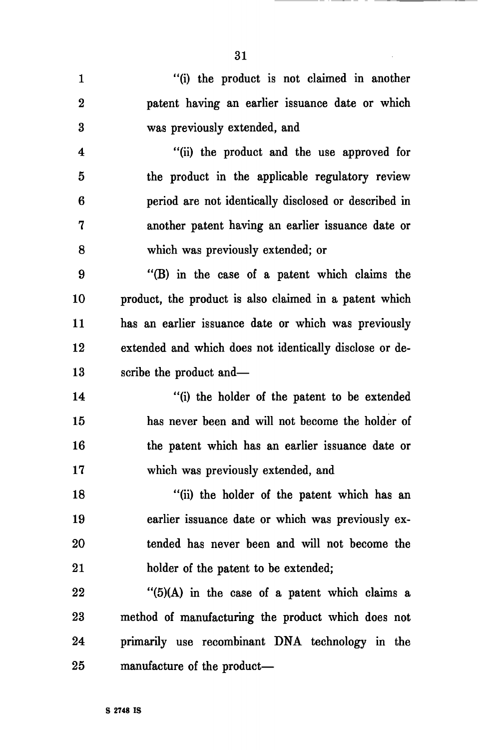1 "(i) the product is not claimed in another 2 patent having an earlier issuance date or which 3 was previously extended, and 4 "(ii) the product and the use approved for

5 the product in the applicable regulatory review 6 period are not identically disclosed or described in 7 another patent having an earlier issuance date or 8 which was previously extended; or

9 "(B) in the case of a patent which claims the 10 product, the product is also claimed in a patent which 11 has an earlier issuance date or which was previously 12 extended and which does not identically disclose or de-13 scribe the product and—

14 "(i) the holder of the patent to be extended 15 has never been and will not become the holder of 16 the patent which has an earlier issuance date or 17 which was previously extended, and

18 "(ii) the holder of the patent which has an 19 earlier issuance date or which was previously ex-20 tended has never been and will not become the 21 holder of the patent to be extended;

 $22$  "(5)(A) in the case of a patent which claims a 23 method of manufacturing the product which does not 24 primarily use recombinant DNA technology in the 25 manufacture of the product—

31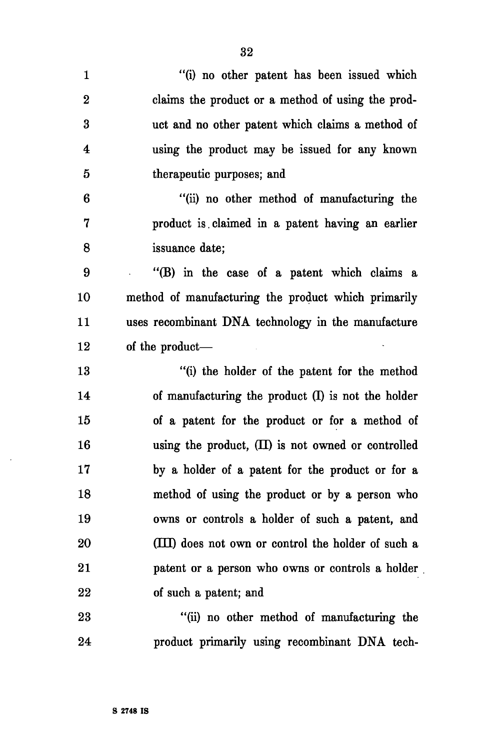| $\mathbf{1}$ | "(i) no other patent has been issued which           |
|--------------|------------------------------------------------------|
| $\bf{2}$     | claims the product or a method of using the prod-    |
| 3            | uct and no other patent which claims a method of     |
| 4            | using the product may be issued for any known        |
| 5            | therapeutic purposes; and                            |
| 6            | "(ii) no other method of manufacturing the           |
| 7            | product is claimed in a patent having an earlier     |
| 8            | issuance date;                                       |
| 9            | "(B) in the case of a patent which claims a          |
| 10           | method of manufacturing the product which primarily  |
| 11           | uses recombinant DNA technology in the manufacture   |
| 12           | of the product—                                      |
| 13           | "(i) the holder of the patent for the method         |
| 14           | of manufacturing the product $(I)$ is not the holder |
| 15           | of a patent for the product or for a method of       |
| 16           | using the product, $(II)$ is not owned or controlled |
| 17           | by a holder of a patent for the product or for a     |
| 18           | method of using the product or by a person who       |
| 19           | owns or controls a holder of such a patent, and      |
| 20           | (III) does not own or control the holder of such a   |
| 21           | patent or a person who owns or controls a holder     |
| 22           | of such a patent; and                                |
| 23           | "(ii) no other method of manufacturing the           |
| 24           |                                                      |

 $\ddot{\phantom{a}}$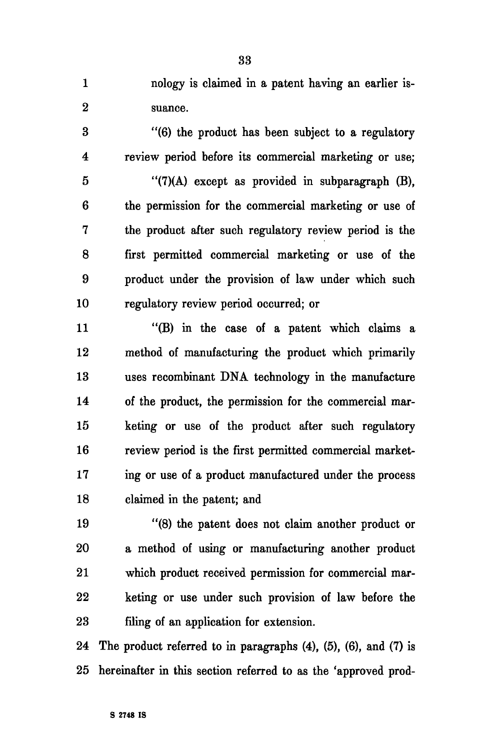1 nology is claimed in a patent having an earlier is-2 suance.

3 "(6) the product has been subject to a regulatory 4 review period before its commercial marketing or use;

5 "(7)(A) except as provided in subparagraph (B), 6 the permission for the commercial marketing or use of 7 the product after such regulatory review period is the 8 first permitted commercial marketing or use of the 9 product under the provision of law under which such 10 regulatory review period occurred; or

11 "(B) in the case of a patent which claims a 12 method of manufacturing the product which primarily 13 uses recombinant DNA technology in the manufacture 14 of the product, the permission for the commercial mar-15 keting or use of the product after such regulatory 16 review period is the first permitted commercial market-17 ing or use of a product manufactured under the process 18 claimed in the patent; and

19 "(8) the patent does not claim another product or 20 a method of using or manufacturing another product 21 which product received permission for commercial mar-22 keting or use under such provision of law before the 23 filing of an application for extension.

24 The product referred to in paragraphs (4), (5), (6), and (7) is 25 hereinafter in this section referred to as the 'approved prod-

33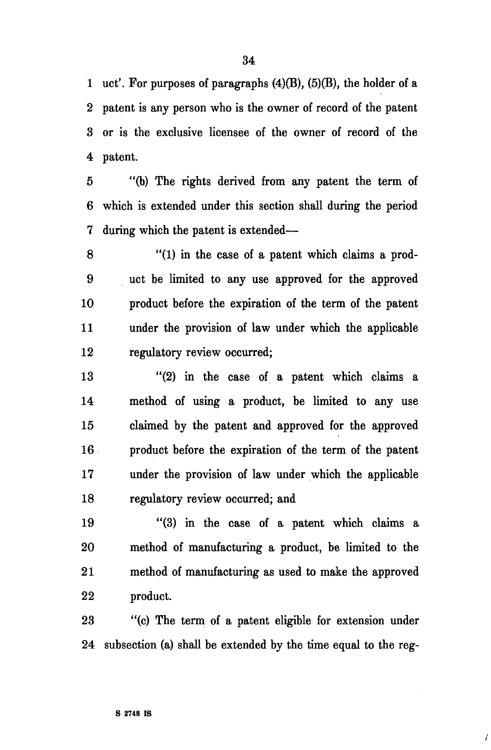1 uct'. For purposes of paragraphs  $(4)(B)$ ,  $(5)(B)$ , the holder of a 2 patent is any person who is the owner of record of the patent 3 or is the exclusive licensee of the owner of record of the 4 patent.

5 "(b) The rights derived from any patent the term of 6 which is extended under this section shall during the period 7 during which the patent is extended—

8 "(1) in the case of a patent which claims a prod-9 uct be limited to any use approved for the approved 10 product before the expiration of the term of the patent 11 under the provision of law under which the applicable 12 regulatory review occurred;

13 "(2) in the case of a patent which claims a 14 method of using a product, be limited to any use 15 claimed by the patent and approved for the approved 16 product before the expiration of the term of the patent 17 under the provision of law under which the applicable 18 regulatory review occurred; and

19 "(3) in the case of a patent which claims a 20 method of manufacturing a product, be limited to the 21 method of manufacturing as used to make the approved 22 product.

23 "(c) The term of a patent eligible for extension under 24 subsection (a) shall be extended by the time equal to the reg-

i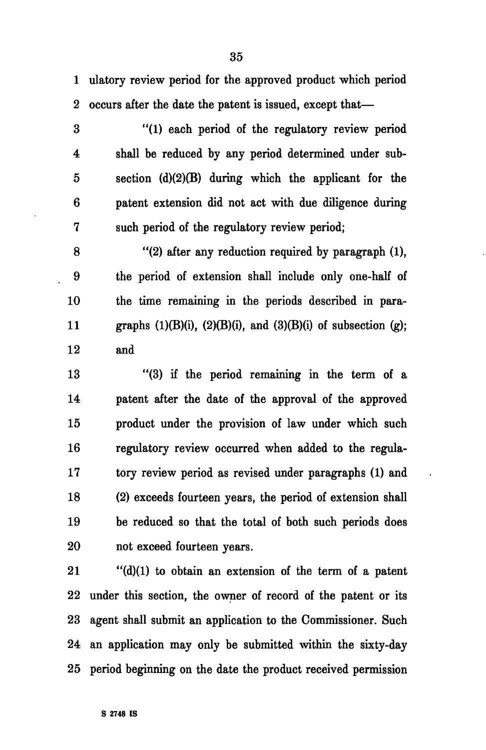1 ulatory review period for the approved product which period 2 occurs after the date the patent is issued, except that—

3 "(1) each period of the regulatory review period 4 shall be reduced by any period determined under sub-5 section (d)(2)(B) during which the applicant for the 6 patent extension did not act with due diligence during 7 such period of the regulatory review period;

8 "(2) after any reduction required by paragraph (1), 9 the period of extension shall include only one-half of 10 the time remaining in the periods described in para-11 graphs  $(1)(B)(i)$ ,  $(2)(B)(i)$ , and  $(3)(B)(i)$  of subsection  $(g)$ ; 12 and

13 "(3) if the period remaining in the term of a 14 patent after the date of the approval of the approved 15 product under the provision of law under which such 16 regulatory review occurred when added to the regula-17 tory review period as revised under paragraphs (1) and 18 (2) exceeds fourteen years, the period of extension shall 19 be reduced so that the total of both such periods does 20 not exceed fourteen years.

21 "(d)(1) to obtain an extension of the term of a patent 22 under this section, the owner of record of the patent or its 23 agent shall submit an application to the Commissioner. Such 24 an application may only be submitted within the sixty-day 25 period beginning on the date the product received permission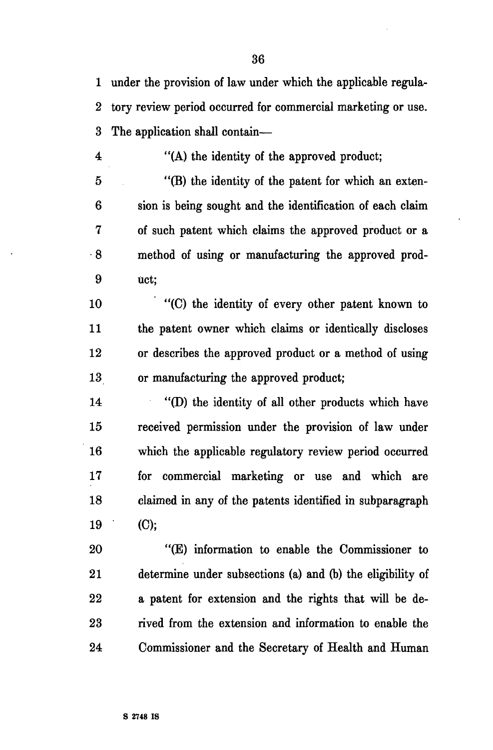1 under the provision of law under which the applicable regula-2 tory review period occurred for commercial marketing or use. 3 The application shall contain—

4 "(A) the identity of the approved product;

5 "(B) the identity of the patent for which an exten-6 sion is being sought and the identification of each claim 7 of such patent which claims the approved product or a 8 method of using or manufacturing the approved prod-9 uct;

10 "(C) the identity of every other patent known to 11 the patent owner which claims or identically discloses 12 or describes the approved product or a method of using 13 or manufacturing the approved product;

14 "(D) the identity of all other products which have 15 received permission under the provision of law under 16 which the applicable regulatory review period occurred 17 for commercial marketing or use and which are 18 claimed in any of the patents identified in subparagraph 19 (C);

20 "(E) information to enable the Commissioner to 21 determine under subsections (a) and (b) the eligibility of 22 a patent for extension and the rights that will be de-23 rived from the extension and information to enable the 24 Commissioner and the Secretary of Health and Human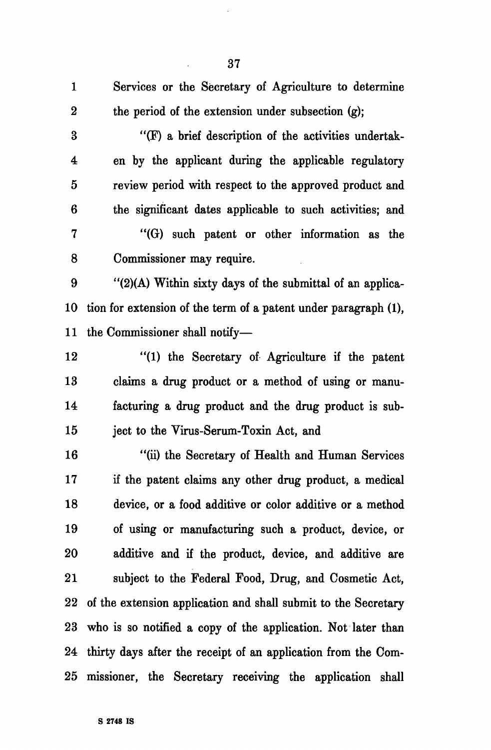| $\mathbf{1}$            | Services or the Secretary of Agriculture to determine            |
|-------------------------|------------------------------------------------------------------|
| $\boldsymbol{2}$        | the period of the extension under subsection (g);                |
| $\bf{3}$                | "(F) a brief description of the activities undertak-             |
| $\overline{\mathbf{4}}$ | en by the applicant during the applicable regulatory             |
| $\mathbf 5$             | review period with respect to the approved product and           |
| $6\phantom{1}6$         | the significant dates applicable to such activities; and         |
| 7                       | "(G) such patent or other information as the                     |
| 8                       | Commissioner may require.                                        |
| 9                       | "(2)(A) Within sixty days of the submittal of an applica-        |
| 10                      | tion for extension of the term of a patent under paragraph (1),  |
| 11                      | the Commissioner shall notify-                                   |
| 12                      | "(1) the Secretary of Agriculture if the patent                  |
| 13                      | claims a drug product or a method of using or manu-              |
| 14                      | facturing a drug product and the drug product is sub-            |
| 15                      | ject to the Virus-Serum-Toxin Act, and                           |
| 16                      | "(ii) the Secretary of Health and Human Services                 |
| 17                      | if the patent claims any other drug product, a medical           |
| 18                      | device, or a food additive or color additive or a method         |
| 19                      | of using or manufacturing such a product, device, or             |
| 20                      | additive and if the product, device, and additive are            |
| 21                      | subject to the Federal Food, Drug, and Cosmetic Act,             |
| $\bf{22}$               | of the extension application and shall submit to the Secretary   |
| 23                      | who is so notified a copy of the application. Not later than     |
|                         | 24 thirty days after the receipt of an application from the Com- |
| $25\,$                  | missioner, the Secretary receiving the application shall         |

37

 $\ddot{\cdot}$ 

 $\hat{\mathcal{A}}$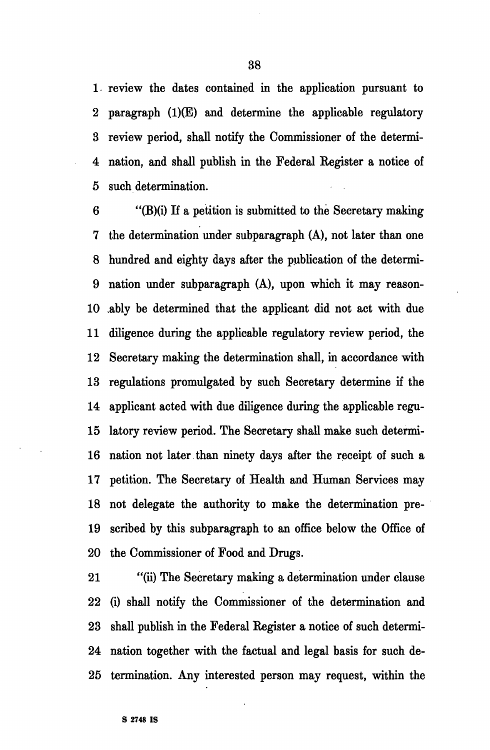1 review the dates contained in the application pursuant to 2 paragraph (1)(E) and determine the applicable regulatory 3 review period, shall notify the Commissioner of the determi-4 nation, and shall publish in the Federal Register a notice of 5 such determination.

6 "(B)(i) If a petition is submitted to the Secretary making 7 the determination under subparagraph (A), not later than one 8 hundred and eighty days after the publication of the determi-9 nation under subparagraph (A), upon which it may reason-10 ably be determined that the applicant did not act with due 11 diligence during the applicable regulatory review period, the 12 Secretary making the determination shall, in accordance with 13 regulations promulgated by such Secretary determine if the 14 applicant acted with due diligence during the applicable regu-15 latory review period. The Secretary shall make such determi-16 nation not later than ninety days after the receipt of such a 17 petition. The Secretary of Health and Human Services may 18 not delegate the authority to make the determination pre-19 scribed by this subparagraph to an office below the Office of 20 the Commissioner of Food and Drugs.

21 "(ii) The Secretary making a determination under clause 22 (i) shall notify the Commissioner of the determination and 23 shall publish in the Federal Register a notice of such determi-24 nation together with the factual and legal basis for such de-25 termination. Any interested person may request, within the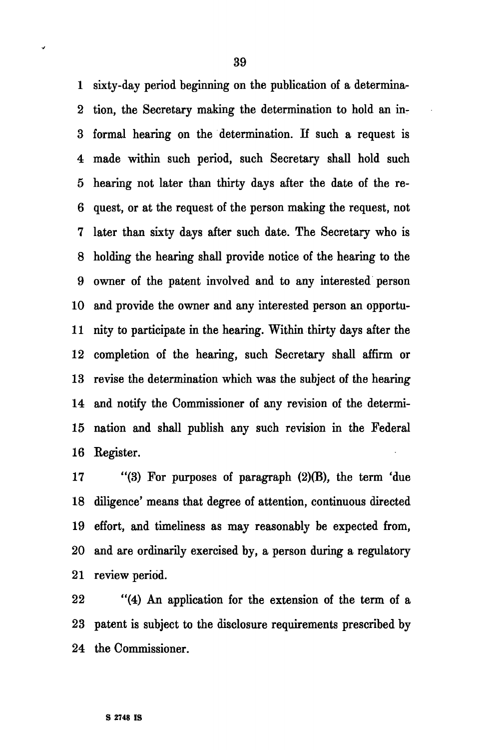1 sixty-day period beginning on the publication of a determina-2 tion, the Secretary making the determination to hold an in-3 formal hearing on the determination. If such a request is 4 made within such period, such Secretary shall hold such 5 hearing not later than thirty days after the date of the re-6 quest, or at the request of the person making the request, not 7 later than sixty days after such date. The Secretary who is 8 holding the hearing shall provide notice of the hearing to the 9 owner of the patent involved and to any interested person 10 and provide the owner and any interested person an opportu-11 nity to participate in the hearing. Within thirty days after the 12 completion of the hearing, such Secretary shall affirm or 13 revise the determination which was the subject of the hearing 14 and notify the Commissioner of any revision of the determi-15 nation and shall publish any such revision in the Federal 16 Kegister.

17 "(3) For purposes of paragraph (2)(B), the term 'due 18 diligence' means that degree of attention, continuous directed 19 effort, and timeliness as may reasonably be expected from, 20 and are ordinarily exercised by, a person during a regulatory 21 review period.

22 "(4) An application for the extension of the term of a 23 patent is subject to the disclosure requirements prescribed by 24 the Commissioner.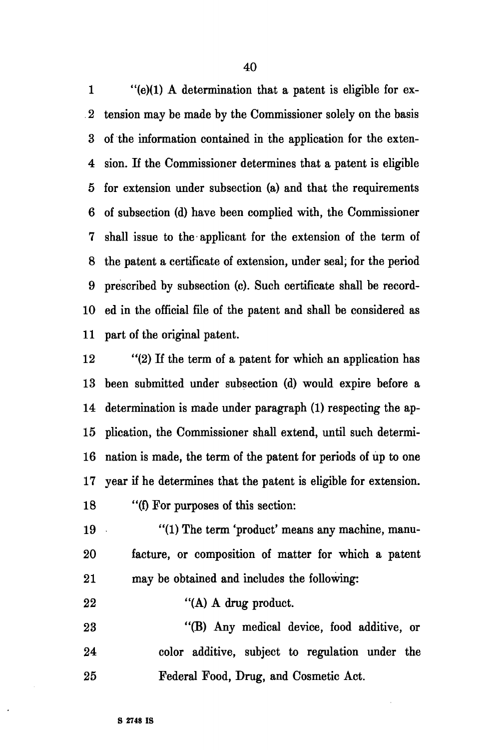1 "(e)(1) A determination that a patent is eligible for ex-2 tension may be made by the Commissioner solely on the basis 3 of the information contained in the application for the exten-4 sion. If the Commissioner determines that a patent is eligible 5 for extension under subsection (a) and that the requirements 6 of subsection (d) have been complied with, the Commissioner 7 shall issue to the applicant for the extension of the term of 8 the patent a certificate of extension, under seal, for the period 9 prescribed by subsection (c). Such certificate shall be record-10 ed in the official file of the patent and shall be considered as 11 part of the original patent.

12 "(2) If the term of a patent for which an application has 13 been submitted under subsection (d) would expire before a 14 determination is made under paragraph (1) respecting the ap-15 plication, the Commissioner shall extend, until such determi-16 nation is made, the term of the patent for periods of up to one 17 year if he determines that the patent is eligible for extension. 18 "(f) For purposes of this section:

19 "(1) The term 'product' means any machine, manu-20 facture, or composition of matter for which a patent 21 may be obtained and includes the following:

22 "(A) A drug product.

23 "(B) Any medical device, food additive, or 24 color additive, subject to regulation under the 25 Federal Food, Drug, and Cosmetic Act.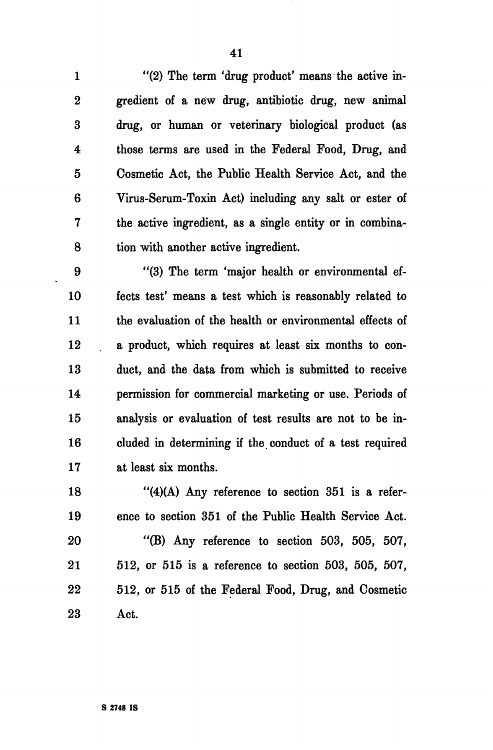1 "(2) The term 'drug product' means the active in-2 gredient of a new drug, antibiotic drug, new animal 3 drug, or human or veterinary biological product (as 4 those terms are used in the Federal Food, Drug, and 5 Cosmetic Act, the Public Health Service Act, and the 6 Virus-Serum-Toxin Act) including any salt or ester of 7 the active ingredient, as a single entity or in combina-8 tion with another active ingredient.

9 "(3) The term 'major health or environmental ef-10 fects test' means a test which is reasonably related to 11 the evaluation of the health or environmental effects of 12 a product, which requires at least six months to con-13 duct, and the data from which is submitted to receive 14 permission for commercial marketing or use. Periods of 15 analysis or evaluation of test results are not to be in-16 cluded in determining if the conduct of a test required 17 at least six months.

18 "(4)(A) Any reference to section 351 is a refer-19 ence to section 351 of the Public Health Service Act.

20 "(B) Any reference to section 503, 505, 507, 21 512, or 515 is a reference to section 503, 505, 507, 22 512, or 515 of the Federal Food, Drug, and Cosmetic 23 Act.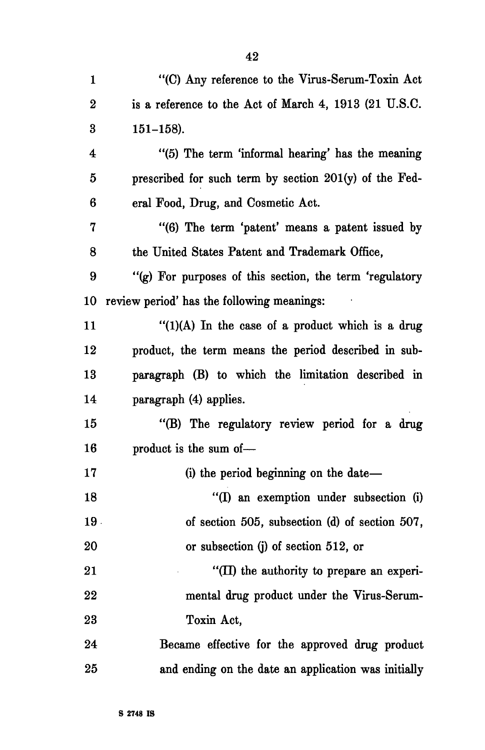| 1        | "(C) Any reference to the Virus-Serum-Toxin Act         |
|----------|---------------------------------------------------------|
| $\bf{2}$ | is a reference to the Act of March 4, 1913 (21 U.S.C.   |
| $\bf{3}$ | $151 - 158$ ).                                          |
| 4        | "(5) The term 'informal hearing' has the meaning        |
| 5        | prescribed for such term by section 201(y) of the Fed-  |
| 6        | eral Food, Drug, and Cosmetic Act.                      |
| 7        | "(6) The term 'patent' means a patent issued by         |
| 8        | the United States Patent and Trademark Office,          |
| 9        | "(g) For purposes of this section, the term 'regulatory |
| 10       | review period' has the following meanings:              |
| 11       | $''(1)(A)$ In the case of a product which is a drug     |
| 12       | product, the term means the period described in sub-    |
| 13       | paragraph (B) to which the limitation described in      |
| 14       | paragraph (4) applies.                                  |
| 15       | "(B) The regulatory review period for a drug            |
| 16       | product is the sum of-                                  |
| 17       | (i) the period beginning on the date—                   |
| 18       | "(I) an exemption under subsection (i)                  |
| 19.      | of section 505, subsection (d) of section 507,          |
| 20       | or subsection (j) of section 512, or                    |
| 21       | "(II) the authority to prepare an experi-               |
| 22       | mental drug product under the Virus-Serum-              |
| 23       | Toxin Act,                                              |
| 24       | Became effective for the approved drug product          |
| 25       | and ending on the date an application was initially     |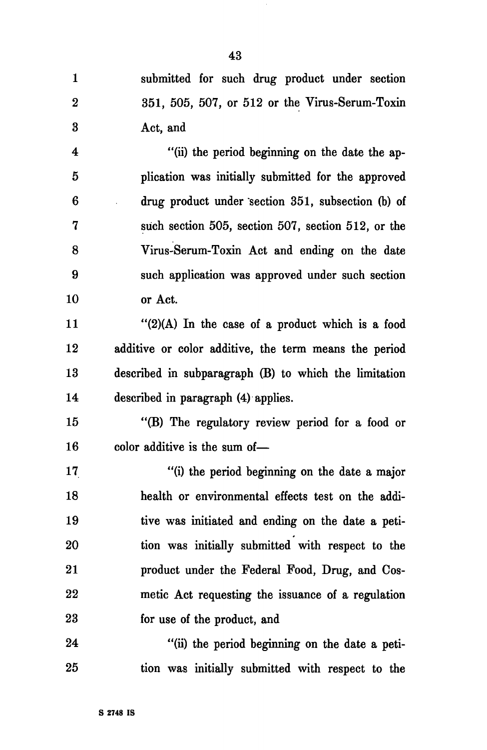| 1        | submitted for such drug product under section         |
|----------|-------------------------------------------------------|
| $\bf{2}$ | 351, 505, 507, or 512 or the Virus-Serum-Toxin        |
| 3        | Act, and                                              |
| 4        | "(ii) the period beginning on the date the ap-        |
| 5        | plication was initially submitted for the approved    |
| 6        | drug product under section 351, subsection (b) of     |
| 7        | such section 505, section 507, section 512, or the    |
| 8        | Virus-Serum-Toxin Act and ending on the date          |
| 9        | such application was approved under such section      |
| 10       | or Act.                                               |
| 11       | "(2)(A) In the case of a product which is a food      |
| 12       | additive or color additive, the term means the period |
| 13       | described in subparagraph (B) to which the limitation |
| 14       | described in paragraph (4) applies.                   |
| 15       | "(B) The regulatory review period for a food or       |
| 16       | color additive is the sum of-                         |
| 17       | "(i) the period beginning on the date a major         |
| 18       | health or environmental effects test on the addi-     |
| 19       | tive was initiated and ending on the date a peti-     |
| 20       | tion was initially submitted with respect to the      |
| 21       | product under the Federal Food, Drug, and Cos-        |
| 22       | metic Act requesting the issuance of a regulation     |
| 23       | for use of the product, and                           |
| 24       | "(ii) the period beginning on the date a peti-        |
| 25       | tion was initially submitted with respect to the      |

 $\sim$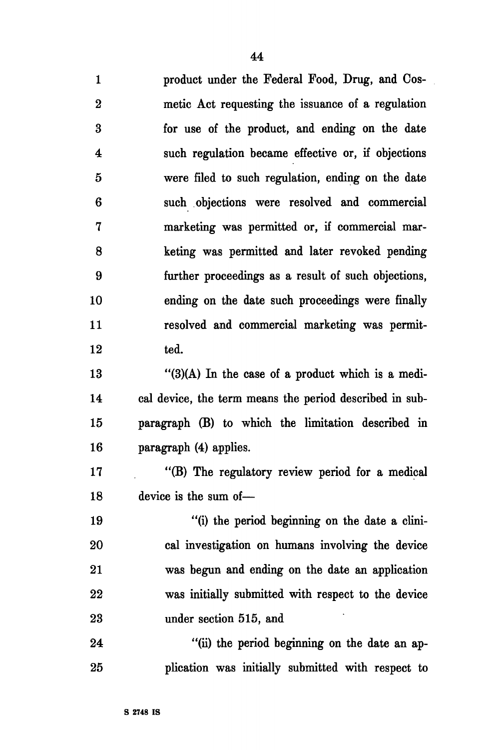1 product under the Federal Food, Drug, and Cos-2 metic Act requesting the issuance of a regulation 3 for use of the product, and ending on the date 4 such regulation became effective or, if objections 5 were filed to such regulation, ending on the date 6 such objections were resolved and commercial 7 marketing was permitted or, if commercial mar-8 keting was permitted and later revoked pending 9 further proceedings as a result of such objections, 10 ending on the date such proceedings were finally 11 resolved and commercial marketing was permit-12 ted.

13 "(3)(A) In the case of a product which is a medi-14 cal device, the term means the period described in sub-15 paragraph (B) to which the limitation described in 16 paragraph (4) applies.

17 "(B) The regulatory review period for a medical 18 device is the sum of—

19 "(i) the period beginning on the date a clini-20 cal investigation on humans involving the device 21 was begun and ending on the date an application 22 was initially submitted with respect to the device 23 under section 515, and

24 "(ii) the period beginning on the date an ap-25 plication was initially submitted with respect to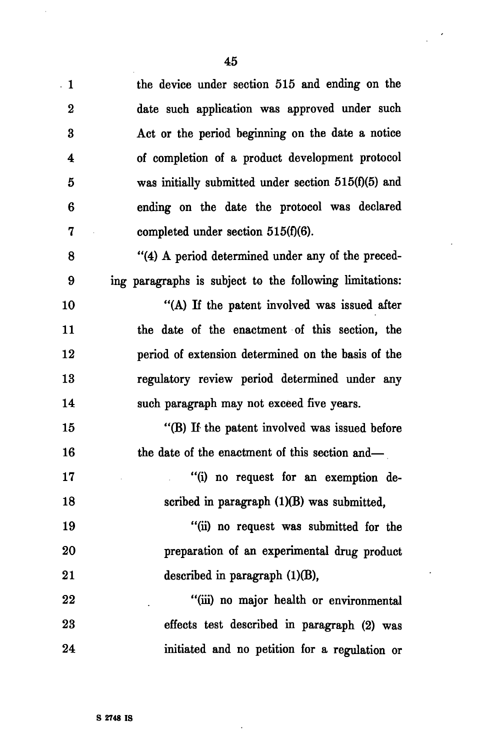$\lambda$ 

 $\ddot{\phantom{a}}$ 

| $\overline{1}$   | the device under section 515 and ending on the          |
|------------------|---------------------------------------------------------|
| $\boldsymbol{2}$ | date such application was approved under such           |
| 3                | Act or the period beginning on the date a notice        |
| 4                | of completion of a product development protocol         |
| 5                | was initially submitted under section $515(f)(5)$ and   |
| 6                | ending on the date the protocol was declared            |
| 7                | completed under section $515(f)(6)$ .                   |
| 8                | "(4) A period determined under any of the preced-       |
| 9                | ing paragraphs is subject to the following limitations: |
| 10               | "(A) If the patent involved was issued after            |
| 11               | the date of the enactment of this section, the          |
| 12               | period of extension determined on the basis of the      |
| 13               | regulatory review period determined under any           |
| 14               | such paragraph may not exceed five years.               |
| 15               | "(B) If the patent involved was issued before           |
| 16               | the date of the enactment of this section and—          |
| 17               | "(i) no request for an exemption de-                    |
| 18               | scribed in paragraph (1)(B) was submitted,              |
| 19               | "(ii) no request was submitted for the                  |
| 20               | preparation of an experimental drug product             |
| 21               | described in paragraph $(1)(B)$ ,                       |
| 22               | "(iii) no major health or environmental                 |
| 23               | effects test described in paragraph (2) was             |
| 24               | initiated and no petition for a regulation or           |

 $\ddot{\phantom{1}}$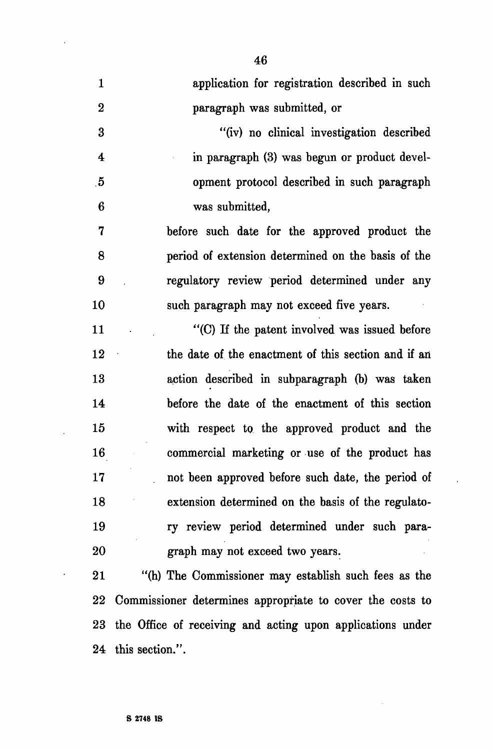1 application for registration described in such 2 paragraph was submitted, or 3 "(iv) no clinical investigation described 4 in paragraph (3) was begun or product devel- .5 opment protocol described in such paragraph 6 was submitted, 7 before such date for the approved product the 8 period of extension determined on the basis of the 9 regulatory review period determined under any 10 such paragraph may not exceed five years. 11 (C) If the patent involved was issued before 12 the date of the enactment of this section and if an 13 action described in subparagraph (b) was taken 14 before the date of the enactment of this section 15 with respect to the approved product and the 16 commercial marketing or use of the product has 17 not been approved before such date, the period of 18 extension determined on the basis of the regulato-19 ry review period determined under such para-20 graph may not exceed two years. 21 "(h) The Commissioner may establish such fees as the

22 Commissioner determines appropriate to cover the costs to 23 the Office of receiving and acting upon applications under 24 this section.".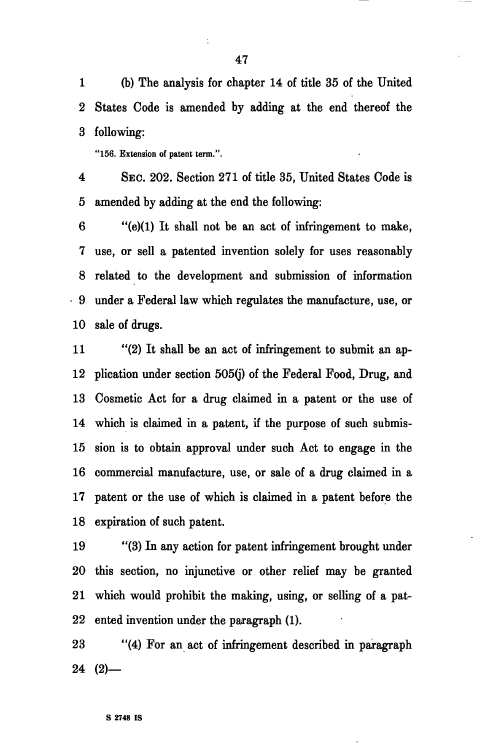1 (b) The analysis for chapter 14 of title 35 of the United 2 States Code is amended by adding at the end thereof the 3 following:

"156. Extension of patent term.".

4 SEC. 202. Section 271 of title 35, United States Code is 5 amended by adding at the end the following:

6 "(e)(1) It shall not be an act of infringement to make, 7 use, or sell a patented invention solely for uses reasonably 8 related to the development and submission of information • 9 under a Federal law which regulates the manufacture, use, or 10 sale of drugs.

11 "(2) It shall be an act of infringement to submit an ap-12 plication under section 505(j) of the Federal Food, Drug, and 13 Cosmetic Act for a drug claimed in a patent or the use of 14 which is claimed in a patent, if the purpose of such submis-15 sion is to obtain approval under such Act to engage in the 16 commercial manufacture, use, or sale of a drug claimed in a 17 patent or the use of which is claimed in a patent before the 18 expiration of such patent.

19 "(3) In any action for patent infringement brought under 20 this section, no injunctive or other relief may be granted 21 which would prohibit the making, using, or selling of a pat-22 ented invention under the paragraph (1).

23 "(4) For an act of infringement described in paragraph  $24(2)$ —

t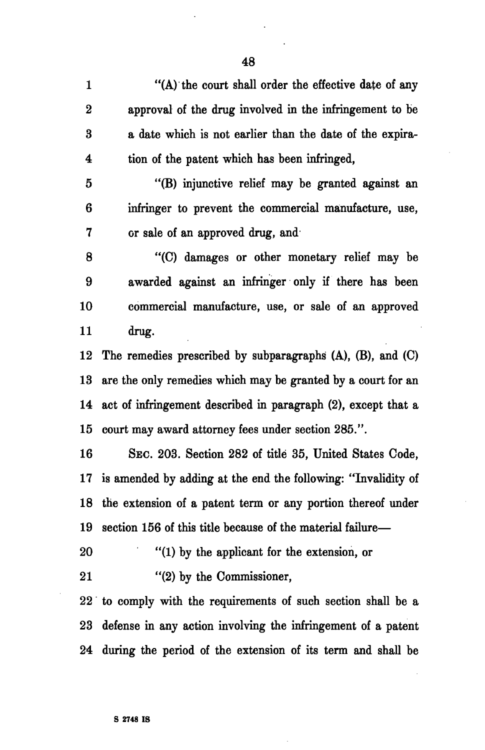1 "(A) the court shall order the effective date of any 2 approval of the drug involved in the infringement to be 3 a date which is not earlier than the date of the expira-4 tion of the patent which has been infringed,

5 "(B) injunctive relief may be granted against an 6 infringer to prevent the commercial manufacture, use, 7 or sale of an approved drug, and

8 "(C) damages or other monetary relief may be 9 awarded against an infringer only if there has been 10 commercial manufacture, use, or sale of an approved 11 drug.

12 The remedies prescribed by subparagraphs (A), (B), and (C) 13 are the only remedies which may be granted by a court for an 14 act of infringement described in paragraph (2), except that a 15 court may award attorney fees under section 285.".

16 SEC. 203. Section 282 of title 35, United States Code, 17 is amended by adding at the end the following: "Invalidity of 18 the extension of a patent term or any portion thereof under 19 section 156 of this title because of the material failure—

20 "(1) by the applicant for the extension, or

21 "(2) by the Commissioner,

22 to comply with the requirements of such section shall be a 23 defense in any action involving the infringement of a patent 24 during the period of the extension of its term and shall be